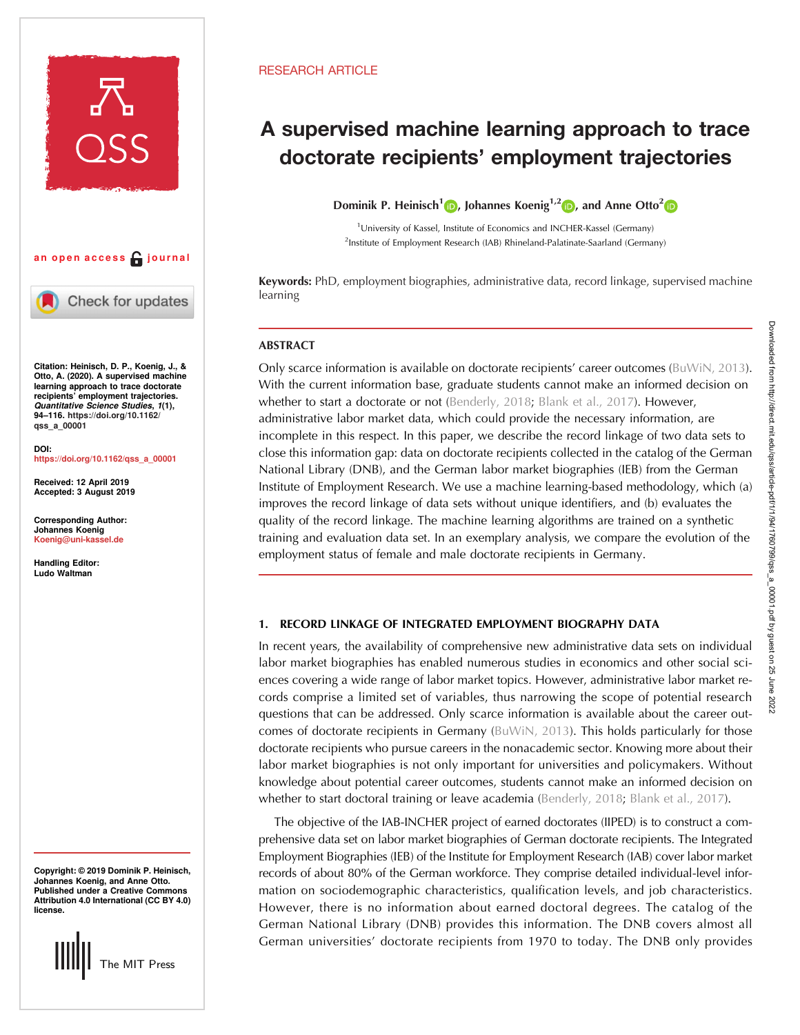

# an open access  $\bigcap$  journal

Check for updates

Citation: Heinisch, D. P., Koenig, J., & Otto, A. (2020). A supervised machine learning approach to trace doctorate recipients' employment trajectories. Quantitative Science Studies, 1(1), 94–116. [https://doi.org/10.1162/](https://doi.org/10.1162/qss_a_00001) [qss\\_a\\_00001](https://doi.org/10.1162/qss_a_00001)

DOI: [https://doi.org/10.1162/qss\\_a\\_00001](https://doi.org/10.1162/qss_a_00001)

Received: 12 April 2019 Accepted: 3 August 2019

Corresponding Author: Johannes Koenig [Koenig@uni-kassel.de](mailto:Koenig@uni-kassel.de)

Handling Editor: Ludo Waltman

Copyright: © 2019 Dominik P. Heinisch, Johannes Koenig, and Anne Otto. Published under a Creative Commons Attribution 4.0 International (CC BY 4.0) license.



# RESEARCH ARTICLE

# A supervised machine learning approach to trace doctorate recipients' employment trajectories

Dominik P. Heinisch<sup>1</sup> <sub>(b</sub>), Johannes Koenig<sup>1,[2](https://orcid.org/0000-0003-3563-3206)</sup> (b), and Anne Otto<sup>2</sup> (b)

<sup>1</sup> University of Kassel, Institute of Economics and INCHER-Kassel (Germany) <sup>2</sup>Institute of Employment Research (IAB) Rhineland-Palatinate-Saarland (Germany)

Keywords: PhD, employment biographies, administrative data, record linkage, supervised machine learning

# **ABSTRACT**

Only scarce information is available on doctorate recipients' career outcomes ([BuWiN, 2013\)](#page-19-0). With the current information base, graduate students cannot make an informed decision on whether to start a doctorate or not ([Benderly, 2018;](#page-19-0) [Blank et al., 2017](#page-19-0)). However, administrative labor market data, which could provide the necessary information, are incomplete in this respect. In this paper, we describe the record linkage of two data sets to close this information gap: data on doctorate recipients collected in the catalog of the German National Library (DNB), and the German labor market biographies (IEB) from the German Institute of Employment Research. We use a machine learning-based methodology, which (a) improves the record linkage of data sets without unique identifiers, and (b) evaluates the quality of the record linkage. The machine learning algorithms are trained on a synthetic training and evaluation data set. In an exemplary analysis, we compare the evolution of the employment status of female and male doctorate recipients in Germany.

## 1. RECORD LINKAGE OF INTEGRATED EMPLOYMENT BIOGRAPHY DATA

In recent years, the availability of comprehensive new administrative data sets on individual labor market biographies has enabled numerous studies in economics and other social sciences covering a wide range of labor market topics. However, administrative labor market records comprise a limited set of variables, thus narrowing the scope of potential research questions that can be addressed. Only scarce information is available about the career outcomes of doctorate recipients in Germany ([BuWiN, 2013](#page-19-0)). This holds particularly for those doctorate recipients who pursue careers in the nonacademic sector. Knowing more about their labor market biographies is not only important for universities and policymakers. Without knowledge about potential career outcomes, students cannot make an informed decision on whether to start doctoral training or leave academia [\(Benderly, 2018;](#page-19-0) [Blank et al., 2017\)](#page-19-0).

The objective of the IAB-INCHER project of earned doctorates (IIPED) is to construct a comprehensive data set on labor market biographies of German doctorate recipients. The Integrated Employment Biographies (IEB) of the Institute for Employment Research (IAB) cover labor market records of about 80% of the German workforce. They comprise detailed individual-level information on sociodemographic characteristics, qualification levels, and job characteristics. However, there is no information about earned doctoral degrees. The catalog of the German National Library (DNB) provides this information. The DNB covers almost all German universities' doctorate recipients from 1970 to today. The DNB only provides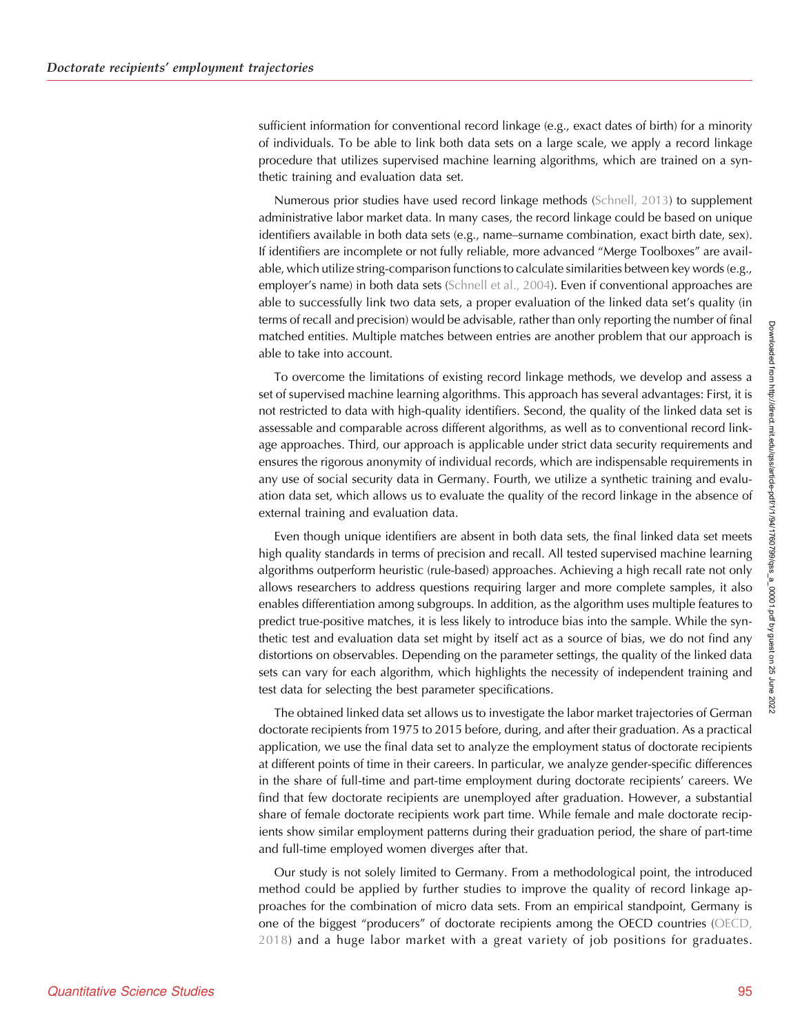sufficient information for conventional record linkage (e.g., exact dates of birth) for a minority of individuals. To be able to link both data sets on a large scale, we apply a record linkage procedure that utilizes supervised machine learning algorithms, which are trained on a synthetic training and evaluation data set.

Numerous prior studies have used record linkage methods ([Schnell, 2013](#page-19-0)) to supplement administrative labor market data. In many cases, the record linkage could be based on unique identifiers available in both data sets (e.g., name–surname combination, exact birth date, sex). If identifiers are incomplete or not fully reliable, more advanced "Merge Toolboxes" are available, which utilize string-comparison functions to calculate similarities between key words (e.g., employer's name) in both data sets [\(Schnell et al., 2004\)](#page-19-0). Even if conventional approaches are able to successfully link two data sets, a proper evaluation of the linked data set's quality (in terms of recall and precision) would be advisable, rather than only reporting the number of final matched entities. Multiple matches between entries are another problem that our approach is able to take into account.

To overcome the limitations of existing record linkage methods, we develop and assess a set of supervised machine learning algorithms. This approach has several advantages: First, it is not restricted to data with high-quality identifiers. Second, the quality of the linked data set is assessable and comparable across different algorithms, as well as to conventional record linkage approaches. Third, our approach is applicable under strict data security requirements and ensures the rigorous anonymity of individual records, which are indispensable requirements in any use of social security data in Germany. Fourth, we utilize a synthetic training and evaluation data set, which allows us to evaluate the quality of the record linkage in the absence of external training and evaluation data.

Even though unique identifiers are absent in both data sets, the final linked data set meets high quality standards in terms of precision and recall. All tested supervised machine learning algorithms outperform heuristic (rule-based) approaches. Achieving a high recall rate not only allows researchers to address questions requiring larger and more complete samples, it also enables differentiation among subgroups. In addition, as the algorithm uses multiple features to predict true-positive matches, it is less likely to introduce bias into the sample. While the synthetic test and evaluation data set might by itself act as a source of bias, we do not find any distortions on observables. Depending on the parameter settings, the quality of the linked data sets can vary for each algorithm, which highlights the necessity of independent training and test data for selecting the best parameter specifications.

The obtained linked data set allows us to investigate the labor market trajectories of German doctorate recipients from 1975 to 2015 before, during, and after their graduation. As a practical application, we use the final data set to analyze the employment status of doctorate recipients at different points of time in their careers. In particular, we analyze gender-specific differences in the share of full-time and part-time employment during doctorate recipients' careers. We find that few doctorate recipients are unemployed after graduation. However, a substantial share of female doctorate recipients work part time. While female and male doctorate recipients show similar employment patterns during their graduation period, the share of part-time and full-time employed women diverges after that.

Our study is not solely limited to Germany. From a methodological point, the introduced method could be applied by further studies to improve the quality of record linkage approaches for the combination of micro data sets. From an empirical standpoint, Germany is one of the biggest "producers" of doctorate recipients among the OECD countries ([OECD,](#page-19-0) [2018\)](#page-19-0) and a huge labor market with a great variety of job positions for graduates.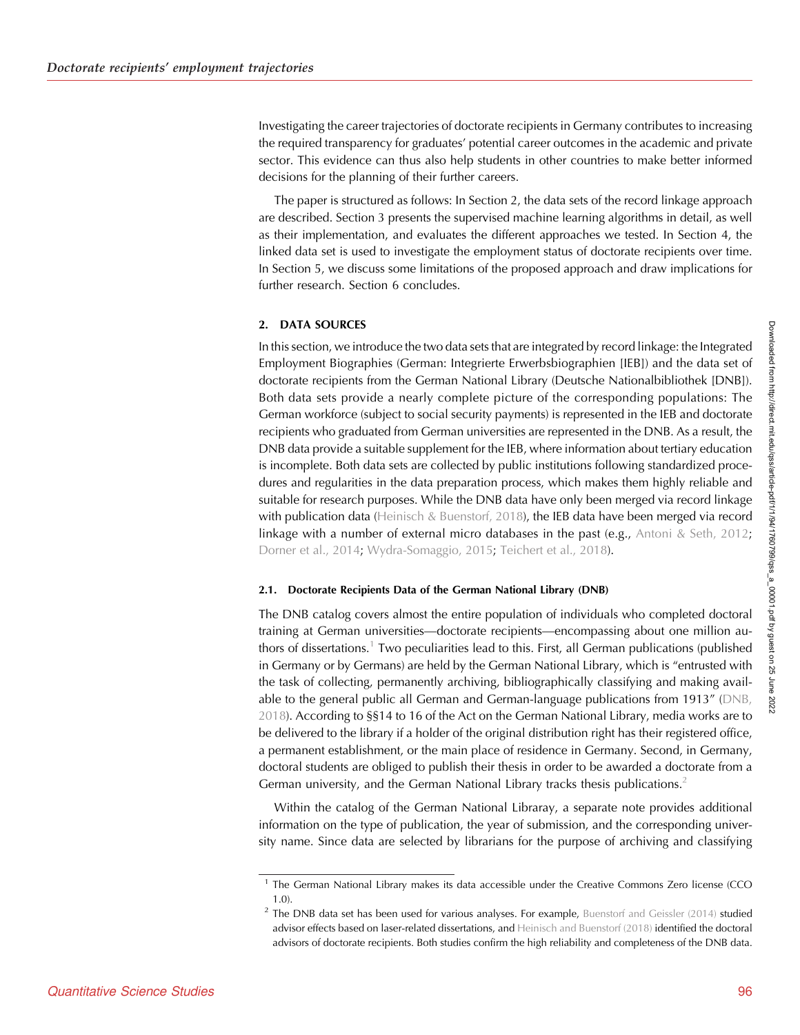Investigating the career trajectories of doctorate recipients in Germany contributes to increasing the required transparency for graduates' potential career outcomes in the academic and private sector. This evidence can thus also help students in other countries to make better informed decisions for the planning of their further careers.

The paper is structured as follows: In Section 2, the data sets of the record linkage approach are described. Section 3 presents the supervised machine learning algorithms in detail, as well as their implementation, and evaluates the different approaches we tested. In Section 4, the linked data set is used to investigate the employment status of doctorate recipients over time. In Section 5, we discuss some limitations of the proposed approach and draw implications for further research. Section 6 concludes.

## 2. DATA SOURCES

In this section, we introduce the two data sets that are integrated by record linkage: the Integrated Employment Biographies (German: Integrierte Erwerbsbiographien [IEB]) and the data set of doctorate recipients from the German National Library (Deutsche Nationalbibliothek [DNB]). Both data sets provide a nearly complete picture of the corresponding populations: The German workforce (subject to social security payments) is represented in the IEB and doctorate recipients who graduated from German universities are represented in the DNB. As a result, the DNB data provide a suitable supplement for the IEB, where information about tertiary education is incomplete. Both data sets are collected by public institutions following standardized procedures and regularities in the data preparation process, which makes them highly reliable and suitable for research purposes. While the DNB data have only been merged via record linkage with publication data ([Heinisch & Buenstorf, 2018](#page-19-0)), the IEB data have been merged via record linkage with a number of external micro databases in the past (e.g., [Antoni & Seth, 2012](#page-19-0); [Dorner et al., 2014;](#page-19-0) [Wydra-Somaggio, 2015;](#page-19-0) [Teichert et al., 2018\)](#page-19-0).

## 2.1. Doctorate Recipients Data of the German National Library (DNB)

The DNB catalog covers almost the entire population of individuals who completed doctoral training at German universities—doctorate recipients—encompassing about one million authors of dissertations.<sup>1</sup> Two peculiarities lead to this. First, all German publications (published in Germany or by Germans) are held by the German National Library, which is "entrusted with the task of collecting, permanently archiving, bibliographically classifying and making available to the general public all German and German-language publications from 1913" [\(DNB,](#page-19-0) [2018\)](#page-19-0). According to §§14 to 16 of the Act on the German National Library, media works are to be delivered to the library if a holder of the original distribution right has their registered office, a permanent establishment, or the main place of residence in Germany. Second, in Germany, doctoral students are obliged to publish their thesis in order to be awarded a doctorate from a German university, and the German National Library tracks thesis publications.<sup>2</sup>

Within the catalog of the German National Libraray, a separate note provides additional information on the type of publication, the year of submission, and the corresponding university name. Since data are selected by librarians for the purpose of archiving and classifying

<sup>&</sup>lt;sup>1</sup> The German National Library makes its data accessible under the Creative Commons Zero license (CCO 1.0).

<sup>&</sup>lt;sup>2</sup> The DNB data set has been used for various analyses. For example, [Buenstorf and Geissler \(2014\)](#page-19-0) studied advisor effects based on laser-related dissertations, and [Heinisch and Buenstorf \(2018\)](#page-19-0) identified the doctoral advisors of doctorate recipients. Both studies confirm the high reliability and completeness of the DNB data.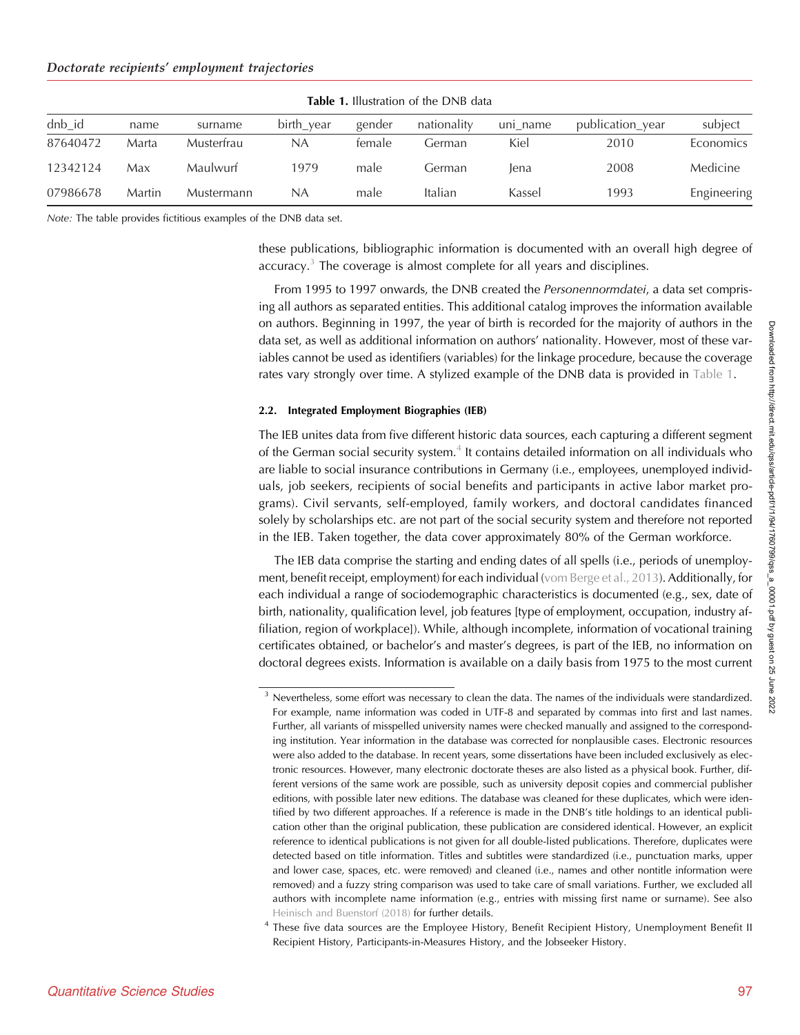|                        | <b>Table 1. Illustration of the DNB data</b> |            |            |        |             |          |                  |             |  |
|------------------------|----------------------------------------------|------------|------------|--------|-------------|----------|------------------|-------------|--|
| $dh$ <sub>d</sub> $id$ | name                                         | surname    | birth_year | gender | nationality | uni name | publication_year | subject     |  |
| 87640472               | Marta                                        | Musterfrau | NA         | female | Germani     | Kiel     | 2010             | Economics   |  |
| 12342124               | Max                                          | Maulwurf   | 1979       | male   | German      | lena     | 2008             | Medicine    |  |
| 07986678               | Martin                                       | Mustermann | NA         | male   | Italian     | Kassel   | 1993             | Engineering |  |

Note: The table provides fictitious examples of the DNB data set.

these publications, bibliographic information is documented with an overall high degree of accuracy.<sup>3</sup> The coverage is almost complete for all years and disciplines.

From 1995 to 1997 onwards, the DNB created the Personennormdatei, a data set comprising all authors as separated entities. This additional catalog improves the information available on authors. Beginning in 1997, the year of birth is recorded for the majority of authors in the data set, as well as additional information on authors' nationality. However, most of these variables cannot be used as identifiers (variables) for the linkage procedure, because the coverage rates vary strongly over time. A stylized example of the DNB data is provided in Table 1.

## 2.2. Integrated Employment Biographies (IEB)

The IEB unites data from five different historic data sources, each capturing a different segment of the German social security system.<sup>4</sup> It contains detailed information on all individuals who are liable to social insurance contributions in Germany (i.e., employees, unemployed individuals, job seekers, recipients of social benefits and participants in active labor market programs). Civil servants, self-employed, family workers, and doctoral candidates financed solely by scholarships etc. are not part of the social security system and therefore not reported in the IEB. Taken together, the data cover approximately 80% of the German workforce.

The IEB data comprise the starting and ending dates of all spells (i.e., periods of unemployment, benefit receipt, employment) for each individual ([vom Berge et al., 2013\)](#page-19-0). Additionally, for each individual a range of sociodemographic characteristics is documented (e.g., sex, date of birth, nationality, qualification level, job features [type of employment, occupation, industry affiliation, region of workplace]). While, although incomplete, information of vocational training certificates obtained, or bachelor's and master's degrees, is part of the IEB, no information on doctoral degrees exists. Information is available on a daily basis from 1975 to the most current

 $3$  Nevertheless, some effort was necessary to clean the data. The names of the individuals were standardized. For example, name information was coded in UTF-8 and separated by commas into first and last names. Further, all variants of misspelled university names were checked manually and assigned to the corresponding institution. Year information in the database was corrected for nonplausible cases. Electronic resources were also added to the database. In recent years, some dissertations have been included exclusively as electronic resources. However, many electronic doctorate theses are also listed as a physical book. Further, different versions of the same work are possible, such as university deposit copies and commercial publisher editions, with possible later new editions. The database was cleaned for these duplicates, which were identified by two different approaches. If a reference is made in the DNB's title holdings to an identical publication other than the original publication, these publication are considered identical. However, an explicit reference to identical publications is not given for all double-listed publications. Therefore, duplicates were detected based on title information. Titles and subtitles were standardized (i.e., punctuation marks, upper and lower case, spaces, etc. were removed) and cleaned (i.e., names and other nontitle information were removed) and a fuzzy string comparison was used to take care of small variations. Further, we excluded all authors with incomplete name information (e.g., entries with missing first name or surname). See also [Heinisch and Buenstorf \(2018\)](#page-19-0) for further details.

<sup>4</sup> These five data sources are the Employee History, Benefit Recipient History, Unemployment Benefit II Recipient History, Participants-in-Measures History, and the Jobseeker History.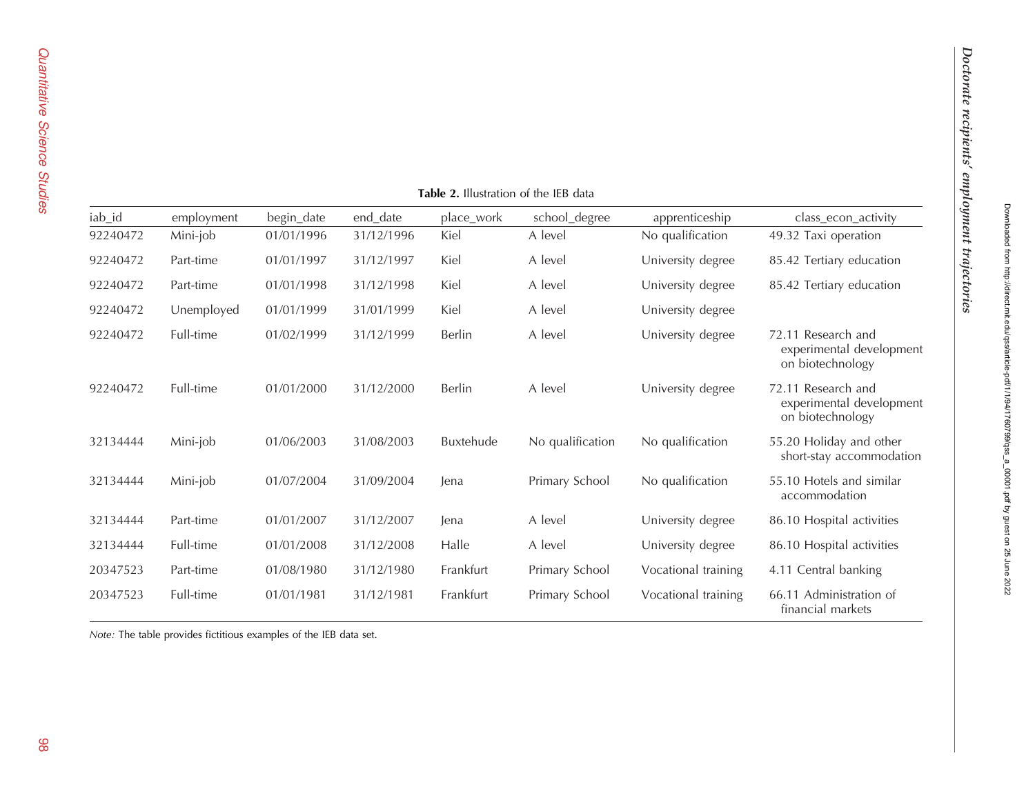<span id="page-4-0"></span>

|          | <b>Table 2.</b> Illustration of the IEB data |            |            |                  |                  |                     |                                                                    |  |  |  |
|----------|----------------------------------------------|------------|------------|------------------|------------------|---------------------|--------------------------------------------------------------------|--|--|--|
| iab_id   | employment                                   | begin_date | end_date   | place_work       | school_degree    | apprenticeship      | class_econ_activity                                                |  |  |  |
| 92240472 | Mini-job                                     | 01/01/1996 | 31/12/1996 | Kiel             | A level          | No qualification    | 49.32 Taxi operation                                               |  |  |  |
| 92240472 | Part-time                                    | 01/01/1997 | 31/12/1997 | Kiel             | A level          | University degree   | 85.42 Tertiary education                                           |  |  |  |
| 92240472 | Part-time                                    | 01/01/1998 | 31/12/1998 | Kiel             | A level          | University degree   | 85.42 Tertiary education                                           |  |  |  |
| 92240472 | Unemployed                                   | 01/01/1999 | 31/01/1999 | Kiel             | A level          | University degree   |                                                                    |  |  |  |
| 92240472 | Full-time                                    | 01/02/1999 | 31/12/1999 | Berlin           | A level          | University degree   | 72.11 Research and<br>experimental development<br>on biotechnology |  |  |  |
| 92240472 | Full-time                                    | 01/01/2000 | 31/12/2000 | Berlin           | A level          | University degree   | 72.11 Research and<br>experimental development<br>on biotechnology |  |  |  |
| 32134444 | Mini-job                                     | 01/06/2003 | 31/08/2003 | <b>Buxtehude</b> | No qualification | No qualification    | 55.20 Holiday and other<br>short-stay accommodation                |  |  |  |
| 32134444 | Mini-job                                     | 01/07/2004 | 31/09/2004 | lena             | Primary School   | No qualification    | 55.10 Hotels and similar<br>accommodation                          |  |  |  |
| 32134444 | Part-time                                    | 01/01/2007 | 31/12/2007 | lena             | A level          | University degree   | 86.10 Hospital activities                                          |  |  |  |
| 32134444 | Full-time                                    | 01/01/2008 | 31/12/2008 | Halle            | A level          | University degree   | 86.10 Hospital activities                                          |  |  |  |
| 20347523 | Part-time                                    | 01/08/1980 | 31/12/1980 | Frankfurt        | Primary School   | Vocational training | 4.11 Central banking                                               |  |  |  |
| 20347523 | Full-time                                    | 01/01/1981 | 31/12/1981 | Frankfurt        | Primary School   | Vocational training | 66.11 Administration of<br>financial markets                       |  |  |  |

 $T_2$ kla $2.1$ ll.  $1$ 

Note: The table provides fictitious examples of the IEB data set.

Doctorate recipients

Doctorate recipients' employment trajectories

employment trajectories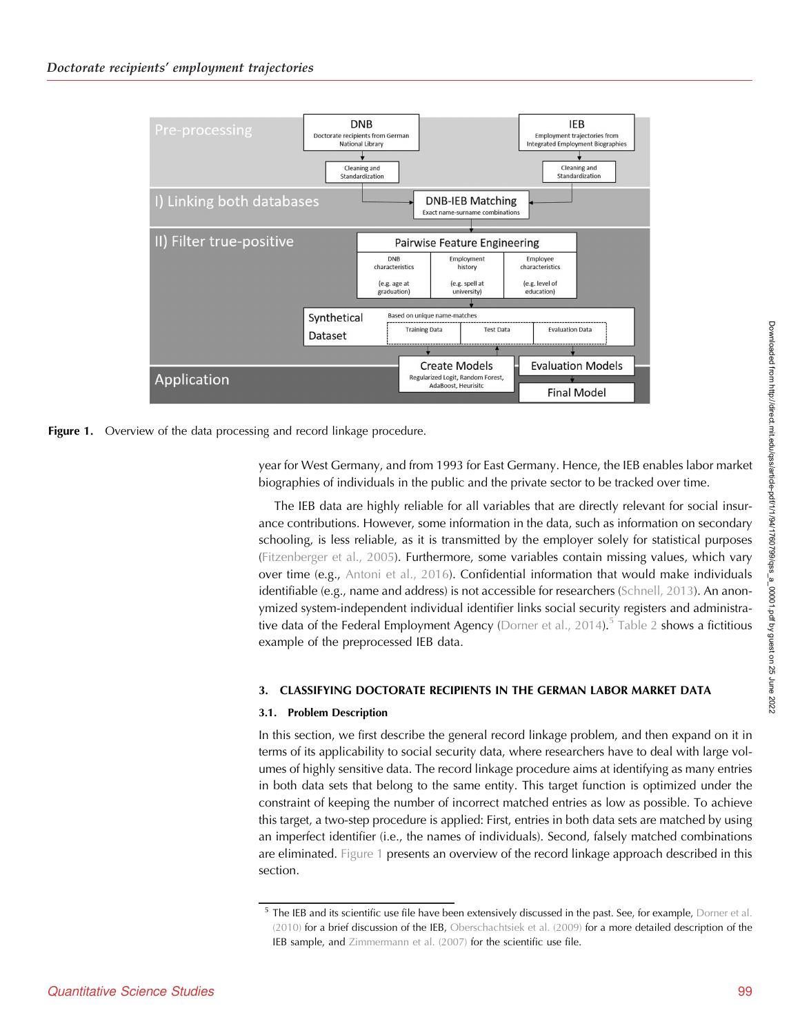



year for West Germany, and from 1993 for East Germany. Hence, the IEB enables labor market biographies of individuals in the public and the private sector to be tracked over time.

The IEB data are highly reliable for all variables that are directly relevant for social insurance contributions. However, some information in the data, such as information on secondary schooling, is less reliable, as it is transmitted by the employer solely for statistical purposes ([Fitzenberger et al., 2005](#page-19-0)). Furthermore, some variables contain missing values, which vary over time (e.g., [Antoni et al., 2016\)](#page-19-0). Confidential information that would make individuals identifiable (e.g., name and address) is not accessible for researchers ([Schnell, 2013](#page-19-0)). An anonymized system-independent individual identifier links social security registers and administra-tive data of the Federal Employment Agency [\(Dorner et al., 2014](#page-19-0)).<sup>5</sup> [Table 2](#page-4-0) shows a fictitious example of the preprocessed IEB data.

# 3. CLASSIFYING DOCTORATE RECIPIENTS IN THE GERMAN LABOR MARKET DATA

## 3.1. Problem Description

In this section, we first describe the general record linkage problem, and then expand on it in terms of its applicability to social security data, where researchers have to deal with large volumes of highly sensitive data. The record linkage procedure aims at identifying as many entries in both data sets that belong to the same entity. This target function is optimized under the constraint of keeping the number of incorrect matched entries as low as possible. To achieve this target, a two-step procedure is applied: First, entries in both data sets are matched by using an imperfect identifier (i.e., the names of individuals). Second, falsely matched combinations are eliminated. Figure 1 presents an overview of the record linkage approach described in this section.

<sup>&</sup>lt;sup>5</sup> The IEB and its scientific use file have been extensively discussed in the past. See, for example, [Dorner et al.](#page-19-0) [\(2010\)](#page-19-0) for a brief discussion of the IEB, [Oberschachtsiek et al. \(2009\)](#page-19-0) for a more detailed description of the IEB sample, and [Zimmermann et al. \(2007\)](#page-19-0) for the scientific use file.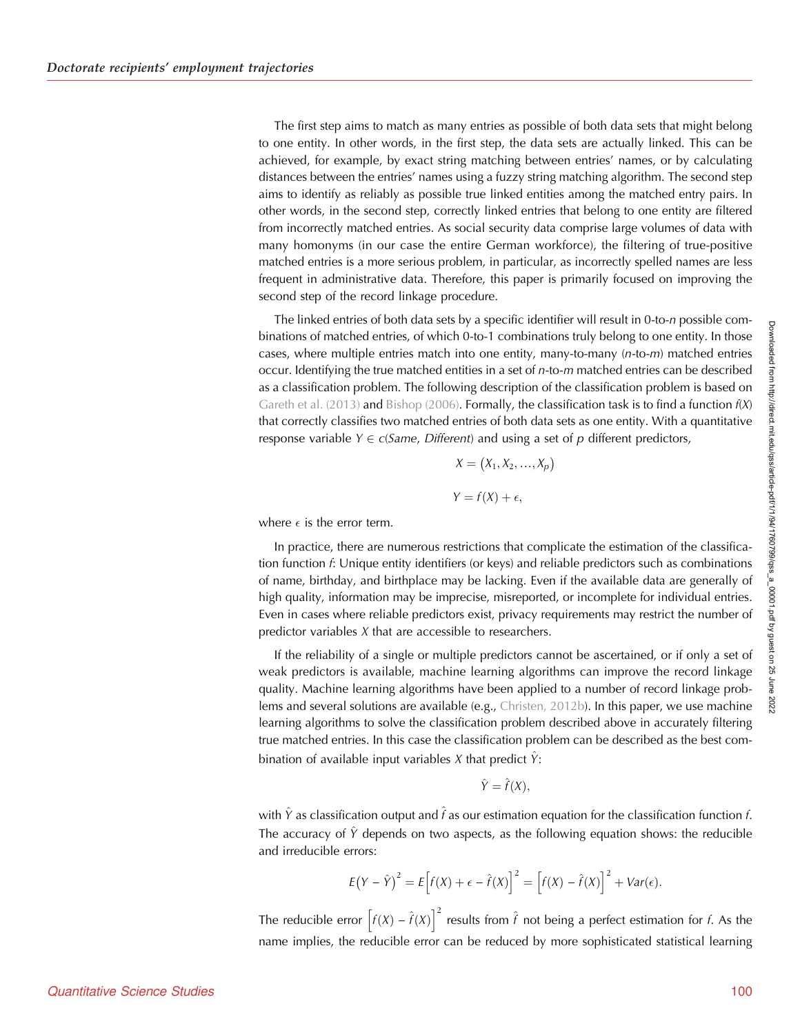The first step aims to match as many entries as possible of both data sets that might belong to one entity. In other words, in the first step, the data sets are actually linked. This can be achieved, for example, by exact string matching between entries' names, or by calculating distances between the entries' names using a fuzzy string matching algorithm. The second step aims to identify as reliably as possible true linked entities among the matched entry pairs. In other words, in the second step, correctly linked entries that belong to one entity are filtered from incorrectly matched entries. As social security data comprise large volumes of data with many homonyms (in our case the entire German workforce), the filtering of true-positive matched entries is a more serious problem, in particular, as incorrectly spelled names are less frequent in administrative data. Therefore, this paper is primarily focused on improving the second step of the record linkage procedure.

The linked entries of both data sets by a specific identifier will result in 0-to-n possible combinations of matched entries, of which 0-to-1 combinations truly belong to one entity. In those cases, where multiple entries match into one entity, many-to-many (n-to-m) matched entries occur. Identifying the true matched entities in a set of  $n$ -to- $m$  matched entries can be described as a classification problem. The following description of the classification problem is based on [Gareth et al. \(2013\)](#page-19-0) and [Bishop \(2006\)](#page-19-0). Formally, the classification task is to find a function  $f(X)$ that correctly classifies two matched entries of both data sets as one entity. With a quantitative response variable  $Y \in c(Same, Different)$  and using a set of p different predictors,

$$
X = (X_1, X_2, ..., X_p)
$$

$$
Y = f(X) + \epsilon,
$$

where  $\epsilon$  is the error term.

In practice, there are numerous restrictions that complicate the estimation of the classification function f: Unique entity identifiers (or keys) and reliable predictors such as combinations of name, birthday, and birthplace may be lacking. Even if the available data are generally of high quality, information may be imprecise, misreported, or incomplete for individual entries. Even in cases where reliable predictors exist, privacy requirements may restrict the number of predictor variables X that are accessible to researchers.

If the reliability of a single or multiple predictors cannot be ascertained, or if only a set of weak predictors is available, machine learning algorithms can improve the record linkage quality. Machine learning algorithms have been applied to a number of record linkage problems and several solutions are available (e.g., [Christen, 2012b](#page-19-0)). In this paper, we use machine learning algorithms to solve the classification problem described above in accurately filtering true matched entries. In this case the classification problem can be described as the best combination of available input variables X that predict  $\hat{Y}$ :

$$
\hat{Y} = \hat{f}(X),
$$

with  $\hat{Y}$  as classification output and  $\hat{f}$  as our estimation equation for the classification function f. The accuracy of  $\hat{Y}$  depends on two aspects, as the following equation shows: the reducible and irreducible errors:

$$
E(Y - \hat{Y})^2 = E\Big[f(X) + \epsilon - \hat{f}(X)\Big]^2 = \Big[f(X) - \hat{f}(X)\Big]^2 + Var(\epsilon).
$$

The reducible error  $\Big[f(X) - \hat{f}(X)\Big]^2$  results from  $\hat{f}$  not being a perfect estimation for  $f$ . As the name implies, the reducible error can be reduced by more sophisticated statistical learning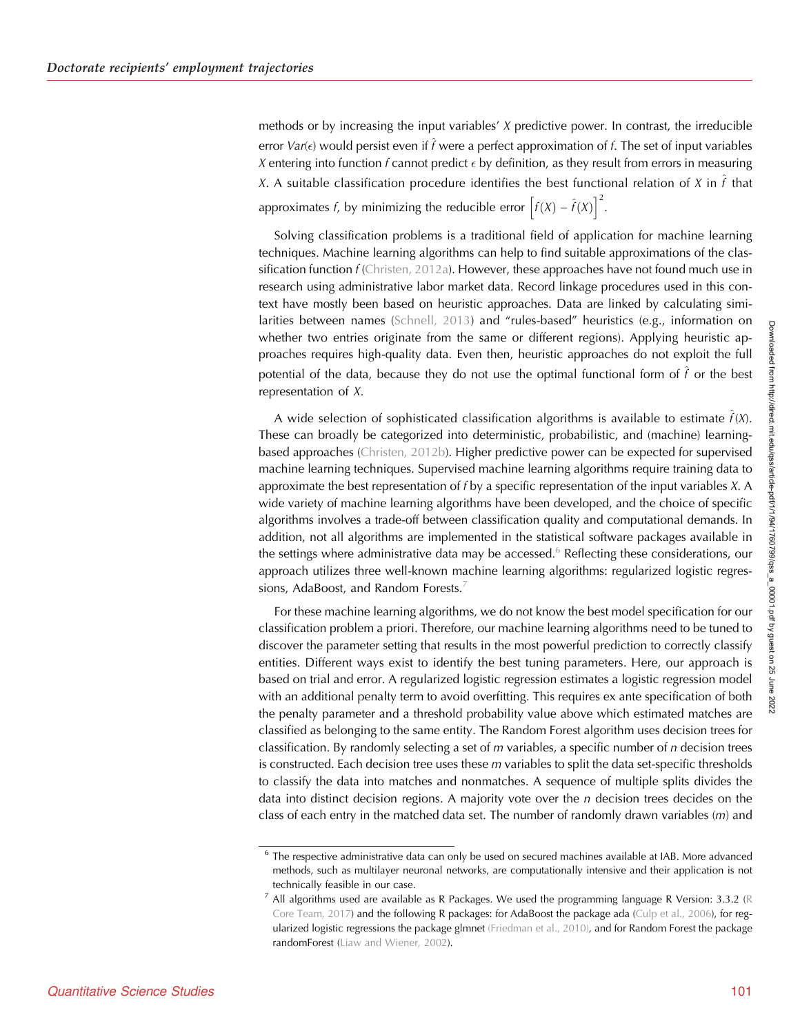methods or by increasing the input variables'  $X$  predictive power. In contrast, the irreducible error Var( $\epsilon$ ) would persist even if  $\hat{f}$  were a perfect approximation of  $f$ . The set of input variables X entering into function  $f$  cannot predict  $\epsilon$  by definition, as they result from errors in measuring X. A suitable classification procedure identifies the best functional relation of X in  $\hat{t}$  that approximates *f*, by minimizing the reducible error  $\left[f(X) - \hat{f}(X)\right]^2$ .

Solving classification problems is a traditional field of application for machine learning techniques. Machine learning algorithms can help to find suitable approximations of the classification function  $f$  ([Christen, 2012a](#page-19-0)). However, these approaches have not found much use in research using administrative labor market data. Record linkage procedures used in this context have mostly been based on heuristic approaches. Data are linked by calculating similarities between names ([Schnell, 2013](#page-19-0)) and "rules-based" heuristics (e.g., information on whether two entries originate from the same or different regions). Applying heuristic approaches requires high-quality data. Even then, heuristic approaches do not exploit the full potential of the data, because they do not use the optimal functional form of  $\hat{f}$  or the best representation of X.

A wide selection of sophisticated classification algorithms is available to estimate  $\hat{f}(X)$ . These can broadly be categorized into deterministic, probabilistic, and (machine) learningbased approaches [\(Christen, 2012b\)](#page-19-0). Higher predictive power can be expected for supervised machine learning techniques. Supervised machine learning algorithms require training data to approximate the best representation of f by a specific representation of the input variables  $X$ . A wide variety of machine learning algorithms have been developed, and the choice of specific algorithms involves a trade-off between classification quality and computational demands. In addition, not all algorithms are implemented in the statistical software packages available in the settings where administrative data may be accessed.<sup>6</sup> Reflecting these considerations, our approach utilizes three well-known machine learning algorithms: regularized logistic regressions, AdaBoost, and Random Forests.<sup>7</sup>

For these machine learning algorithms, we do not know the best model specification for our classification problem a priori. Therefore, our machine learning algorithms need to be tuned to discover the parameter setting that results in the most powerful prediction to correctly classify entities. Different ways exist to identify the best tuning parameters. Here, our approach is based on trial and error. A regularized logistic regression estimates a logistic regression model with an additional penalty term to avoid overfitting. This requires ex ante specification of both the penalty parameter and a threshold probability value above which estimated matches are classified as belonging to the same entity. The Random Forest algorithm uses decision trees for classification. By randomly selecting a set of  $m$  variables, a specific number of  $n$  decision trees is constructed. Each decision tree uses these  $m$  variables to split the data set-specific thresholds to classify the data into matches and nonmatches. A sequence of multiple splits divides the data into distinct decision regions. A majority vote over the  $n$  decision trees decides on the class of each entry in the matched data set. The number of randomly drawn variables  $(m)$  and

<sup>6</sup> The respective administrative data can only be used on secured machines available at IAB. More advanced methods, such as multilayer neuronal networks, are computationally intensive and their application is not technically feasible in our case.

 $^7$  All algorithms used are available as R Packages. We used the programming language R Version: 3.3.2 [\(R](#page-19-0) [Core Team, 2017\)](#page-19-0) and the following R packages: for AdaBoost the package ada ([Culp et al., 2006\)](#page-19-0), for regularized logistic regressions the package glmnet [\(Friedman et al., 2010\),](#page-19-0) and for Random Forest the package randomForest [\(Liaw and Wiener, 2002](#page-19-0)).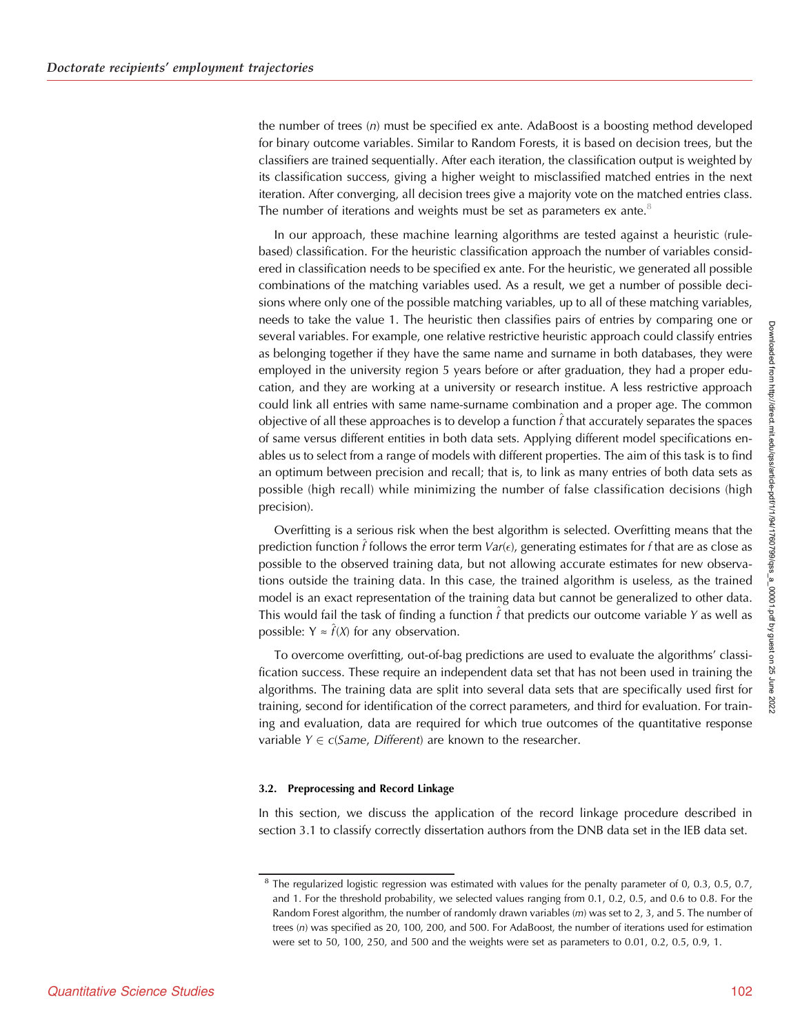the number of trees  $(n)$  must be specified ex ante. AdaBoost is a boosting method developed for binary outcome variables. Similar to Random Forests, it is based on decision trees, but the classifiers are trained sequentially. After each iteration, the classification output is weighted by its classification success, giving a higher weight to misclassified matched entries in the next iteration. After converging, all decision trees give a majority vote on the matched entries class. The number of iterations and weights must be set as parameters ex ante. $8$ 

In our approach, these machine learning algorithms are tested against a heuristic (rulebased) classification. For the heuristic classification approach the number of variables considered in classification needs to be specified ex ante. For the heuristic, we generated all possible combinations of the matching variables used. As a result, we get a number of possible decisions where only one of the possible matching variables, up to all of these matching variables, needs to take the value 1. The heuristic then classifies pairs of entries by comparing one or several variables. For example, one relative restrictive heuristic approach could classify entries as belonging together if they have the same name and surname in both databases, they were employed in the university region 5 years before or after graduation, they had a proper education, and they are working at a university or research institue. A less restrictive approach could link all entries with same name-surname combination and a proper age. The common objective of all these approaches is to develop a function  $\hat{t}$  that accurately separates the spaces of same versus different entities in both data sets. Applying different model specifications enables us to select from a range of models with different properties. The aim of this task is to find an optimum between precision and recall; that is, to link as many entries of both data sets as possible (high recall) while minimizing the number of false classification decisions (high precision).

Overfitting is a serious risk when the best algorithm is selected. Overfitting means that the prediction function  $\hat{f}$  follows the error term Var( $\epsilon$ ), generating estimates for  $f$  that are as close as possible to the observed training data, but not allowing accurate estimates for new observations outside the training data. In this case, the trained algorithm is useless, as the trained model is an exact representation of the training data but cannot be generalized to other data. This would fail the task of finding a function  $f$  that predicts our outcome variable Y as well as possible:  $Y \approx \hat{f}(X)$  for any observation.

To overcome overfitting, out-of-bag predictions are used to evaluate the algorithms' classification success. These require an independent data set that has not been used in training the algorithms. The training data are split into several data sets that are specifically used first for training, second for identification of the correct parameters, and third for evaluation. For training and evaluation, data are required for which true outcomes of the quantitative response variable  $Y \in c(Same, Different)$  are known to the researcher.

## 3.2. Preprocessing and Record Linkage

In this section, we discuss the application of the record linkage procedure described in section 3.1 to classify correctly dissertation authors from the DNB data set in the IEB data set.

 $8$  The regularized logistic regression was estimated with values for the penalty parameter of 0, 0.3, 0.5, 0.7, and 1. For the threshold probability, we selected values ranging from 0.1, 0.2, 0.5, and 0.6 to 0.8. For the Random Forest algorithm, the number of randomly drawn variables  $(m)$  was set to 2, 3, and 5. The number of trees (n) was specified as 20, 100, 200, and 500. For AdaBoost, the number of iterations used for estimation were set to 50, 100, 250, and 500 and the weights were set as parameters to 0.01, 0.2, 0.5, 0.9, 1.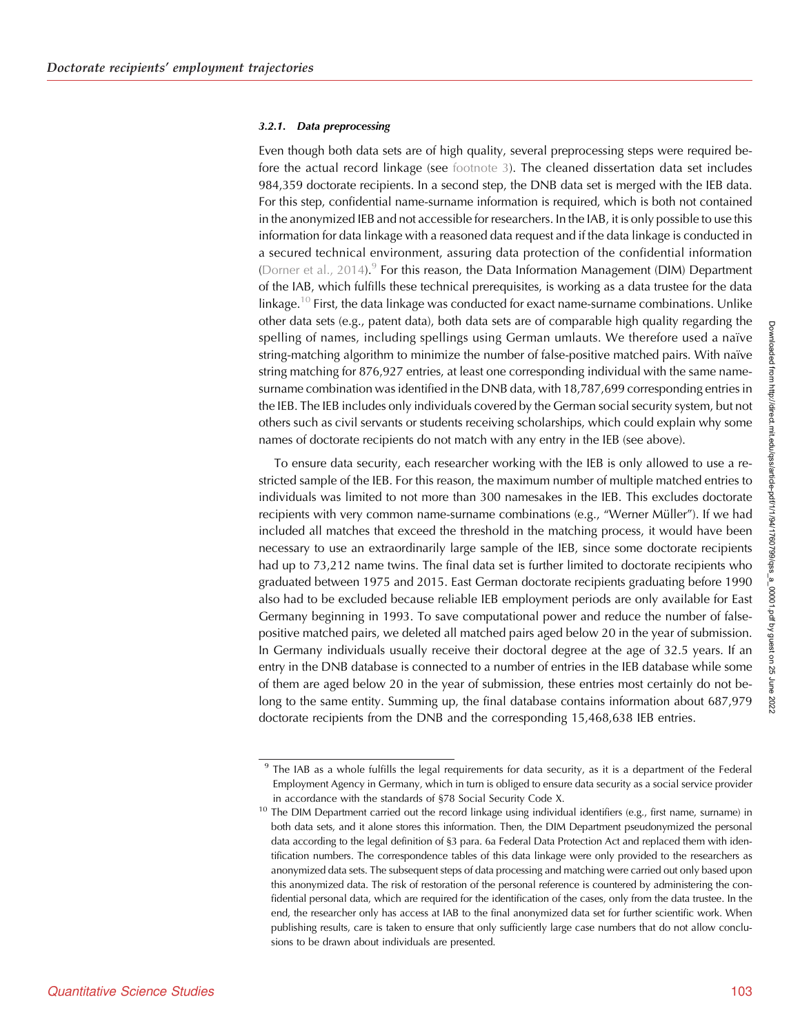#### <span id="page-9-0"></span>3.2.1. Data preprocessing

Even though both data sets are of high quality, several preprocessing steps were required before the actual record linkage (see footnote 3). The cleaned dissertation data set includes 984,359 doctorate recipients. In a second step, the DNB data set is merged with the IEB data. For this step, confidential name-surname information is required, which is both not contained in the anonymized IEB and not accessible for researchers. In the IAB, it is only possible to use this information for data linkage with a reasoned data request and if the data linkage is conducted in a secured technical environment, assuring data protection of the confidential information ([Dorner et al., 2014](#page-19-0)).<sup>9</sup> For this reason, the Data Information Management (DIM) Department of the IAB, which fulfills these technical prerequisites, is working as a data trustee for the data linkage.<sup>10</sup> First, the data linkage was conducted for exact name-surname combinations. Unlike other data sets (e.g., patent data), both data sets are of comparable high quality regarding the spelling of names, including spellings using German umlauts. We therefore used a naïve string-matching algorithm to minimize the number of false-positive matched pairs. With naïve string matching for 876,927 entries, at least one corresponding individual with the same namesurname combination was identified in the DNB data, with 18,787,699 corresponding entries in the IEB. The IEB includes only individuals covered by the German social security system, but not others such as civil servants or students receiving scholarships, which could explain why some names of doctorate recipients do not match with any entry in the IEB (see above).

To ensure data security, each researcher working with the IEB is only allowed to use a restricted sample of the IEB. For this reason, the maximum number of multiple matched entries to individuals was limited to not more than 300 namesakes in the IEB. This excludes doctorate recipients with very common name-surname combinations (e.g., "Werner Müller"). If we had included all matches that exceed the threshold in the matching process, it would have been necessary to use an extraordinarily large sample of the IEB, since some doctorate recipients had up to 73,212 name twins. The final data set is further limited to doctorate recipients who graduated between 1975 and 2015. East German doctorate recipients graduating before 1990 also had to be excluded because reliable IEB employment periods are only available for East Germany beginning in 1993. To save computational power and reduce the number of falsepositive matched pairs, we deleted all matched pairs aged below 20 in the year of submission. In Germany individuals usually receive their doctoral degree at the age of 32.5 years. If an entry in the DNB database is connected to a number of entries in the IEB database while some of them are aged below 20 in the year of submission, these entries most certainly do not belong to the same entity. Summing up, the final database contains information about 687,979 doctorate recipients from the DNB and the corresponding 15,468,638 IEB entries.

 $9$  The IAB as a whole fulfills the legal requirements for data security, as it is a department of the Federal Employment Agency in Germany, which in turn is obliged to ensure data security as a social service provider in accordance with the standards of §78 Social Security Code X.

 $10$  The DIM Department carried out the record linkage using individual identifiers (e.g., first name, surname) in both data sets, and it alone stores this information. Then, the DIM Department pseudonymized the personal data according to the legal definition of §3 para. 6a Federal Data Protection Act and replaced them with identification numbers. The correspondence tables of this data linkage were only provided to the researchers as anonymized data sets. The subsequent steps of data processing and matching were carried out only based upon this anonymized data. The risk of restoration of the personal reference is countered by administering the confidential personal data, which are required for the identification of the cases, only from the data trustee. In the end, the researcher only has access at IAB to the final anonymized data set for further scientific work. When publishing results, care is taken to ensure that only sufficiently large case numbers that do not allow conclusions to be drawn about individuals are presented.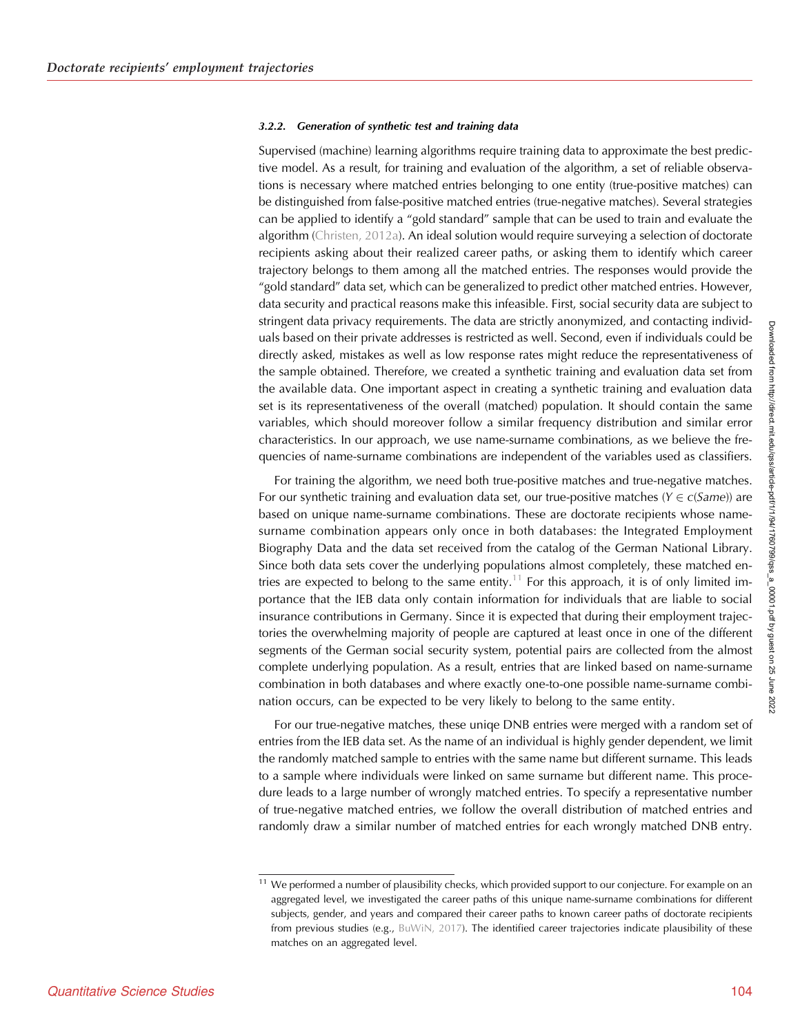#### 3.2.2. Generation of synthetic test and training data

Supervised (machine) learning algorithms require training data to approximate the best predictive model. As a result, for training and evaluation of the algorithm, a set of reliable observations is necessary where matched entries belonging to one entity (true-positive matches) can be distinguished from false-positive matched entries (true-negative matches). Several strategies can be applied to identify a "gold standard" sample that can be used to train and evaluate the algorithm [\(Christen, 2012a](#page-19-0)). An ideal solution would require surveying a selection of doctorate recipients asking about their realized career paths, or asking them to identify which career trajectory belongs to them among all the matched entries. The responses would provide the "gold standard" data set, which can be generalized to predict other matched entries. However, data security and practical reasons make this infeasible. First, social security data are subject to stringent data privacy requirements. The data are strictly anonymized, and contacting individuals based on their private addresses is restricted as well. Second, even if individuals could be directly asked, mistakes as well as low response rates might reduce the representativeness of the sample obtained. Therefore, we created a synthetic training and evaluation data set from the available data. One important aspect in creating a synthetic training and evaluation data set is its representativeness of the overall (matched) population. It should contain the same variables, which should moreover follow a similar frequency distribution and similar error characteristics. In our approach, we use name-surname combinations, as we believe the frequencies of name-surname combinations are independent of the variables used as classifiers.

For training the algorithm, we need both true-positive matches and true-negative matches. For our synthetic training and evaluation data set, our true-positive matches ( $Y \in c(Same)$ ) are based on unique name-surname combinations. These are doctorate recipients whose namesurname combination appears only once in both databases: the Integrated Employment Biography Data and the data set received from the catalog of the German National Library. Since both data sets cover the underlying populations almost completely, these matched entries are expected to belong to the same entity.<sup>11</sup> For this approach, it is of only limited importance that the IEB data only contain information for individuals that are liable to social insurance contributions in Germany. Since it is expected that during their employment trajectories the overwhelming majority of people are captured at least once in one of the different segments of the German social security system, potential pairs are collected from the almost complete underlying population. As a result, entries that are linked based on name-surname combination in both databases and where exactly one-to-one possible name-surname combination occurs, can be expected to be very likely to belong to the same entity.

For our true-negative matches, these uniqe DNB entries were merged with a random set of entries from the IEB data set. As the name of an individual is highly gender dependent, we limit the randomly matched sample to entries with the same name but different surname. This leads to a sample where individuals were linked on same surname but different name. This procedure leads to a large number of wrongly matched entries. To specify a representative number of true-negative matched entries, we follow the overall distribution of matched entries and randomly draw a similar number of matched entries for each wrongly matched DNB entry.

 $11$  We performed a number of plausibility checks, which provided support to our conjecture. For example on an aggregated level, we investigated the career paths of this unique name-surname combinations for different subjects, gender, and years and compared their career paths to known career paths of doctorate recipients from previous studies (e.g., [BuWiN, 2017\)](#page-19-0). The identified career trajectories indicate plausibility of these matches on an aggregated level.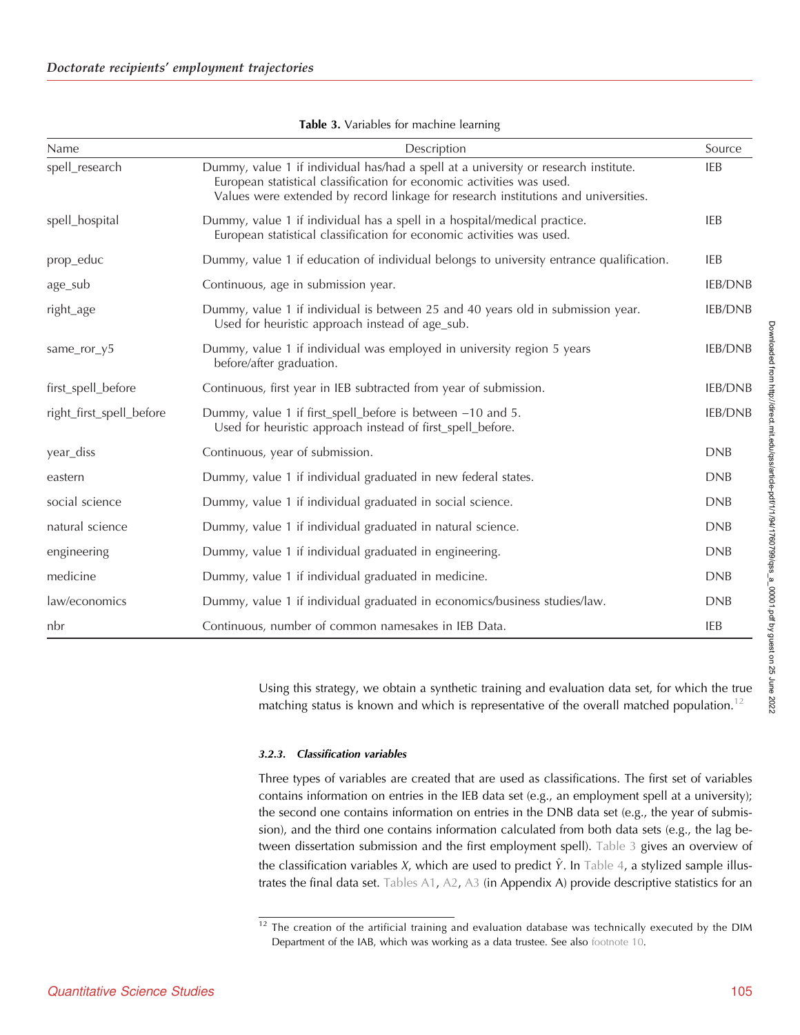| Name                     | Description                                                                                                                                                                                                                                        | Source         |
|--------------------------|----------------------------------------------------------------------------------------------------------------------------------------------------------------------------------------------------------------------------------------------------|----------------|
| spell_research           | Dummy, value 1 if individual has/had a spell at a university or research institute.<br>European statistical classification for economic activities was used.<br>Values were extended by record linkage for research institutions and universities. | IEB            |
| spell_hospital           | Dummy, value 1 if individual has a spell in a hospital/medical practice.<br>European statistical classification for economic activities was used.                                                                                                  | <b>IEB</b>     |
| prop_educ                | Dummy, value 1 if education of individual belongs to university entrance qualification.                                                                                                                                                            | IEB            |
| age_sub                  | Continuous, age in submission year.                                                                                                                                                                                                                | <b>IEB/DNB</b> |
| right_age                | Dummy, value 1 if individual is between 25 and 40 years old in submission year.<br>Used for heuristic approach instead of age_sub.                                                                                                                 | <b>IEB/DNB</b> |
| same_ror_y5              | Dummy, value 1 if individual was employed in university region 5 years<br>before/after graduation.                                                                                                                                                 | <b>IEB/DNB</b> |
| first_spell_before       | Continuous, first year in IEB subtracted from year of submission.                                                                                                                                                                                  | <b>IEB/DNB</b> |
| right_first_spell_before | Dummy, value 1 if first_spell_before is between -10 and 5.<br>Used for heuristic approach instead of first_spell_before.                                                                                                                           | <b>IEB/DNB</b> |
| year_diss                | Continuous, year of submission.                                                                                                                                                                                                                    | <b>DNB</b>     |
| eastern                  | Dummy, value 1 if individual graduated in new federal states.                                                                                                                                                                                      | <b>DNB</b>     |
| social science           | Dummy, value 1 if individual graduated in social science.                                                                                                                                                                                          | <b>DNB</b>     |
| natural science          | Dummy, value 1 if individual graduated in natural science.                                                                                                                                                                                         | <b>DNB</b>     |
| engineering              | Dummy, value 1 if individual graduated in engineering.                                                                                                                                                                                             | <b>DNB</b>     |
| medicine                 | Dummy, value 1 if individual graduated in medicine.                                                                                                                                                                                                | <b>DNB</b>     |
| law/economics            | Dummy, value 1 if individual graduated in economics/business studies/law.                                                                                                                                                                          | <b>DNB</b>     |
| nbr                      | Continuous, number of common namesakes in IEB Data.                                                                                                                                                                                                | IEB            |

|  | Table 3. Variables for machine learning |  |  |  |
|--|-----------------------------------------|--|--|--|
|--|-----------------------------------------|--|--|--|

Using this strategy, we obtain a synthetic training and evaluation data set, for which the true matching status is known and which is representative of the overall matched population.<sup>12</sup>

# 3.2.3. Classification variables

Three types of variables are created that are used as classifications. The first set of variables contains information on entries in the IEB data set (e.g., an employment spell at a university); the second one contains information on entries in the DNB data set (e.g., the year of submission), and the third one contains information calculated from both data sets (e.g., the lag between dissertation submission and the first employment spell). Table 3 gives an overview of the classification variables X, which are used to predict  $\hat{Y}$ . In [Table 4,](#page-12-0) a stylized sample illustrates the final data set. [Tables A1,](#page-20-0) [A2,](#page-20-0) [A3](#page-21-0) (in Appendix A) provide descriptive statistics for an

 $12$  The creation of the artificial training and evaluation database was technically executed by the DIM Department of the IAB, which was working as a data trustee. See also [footnote 10.](#page-9-0)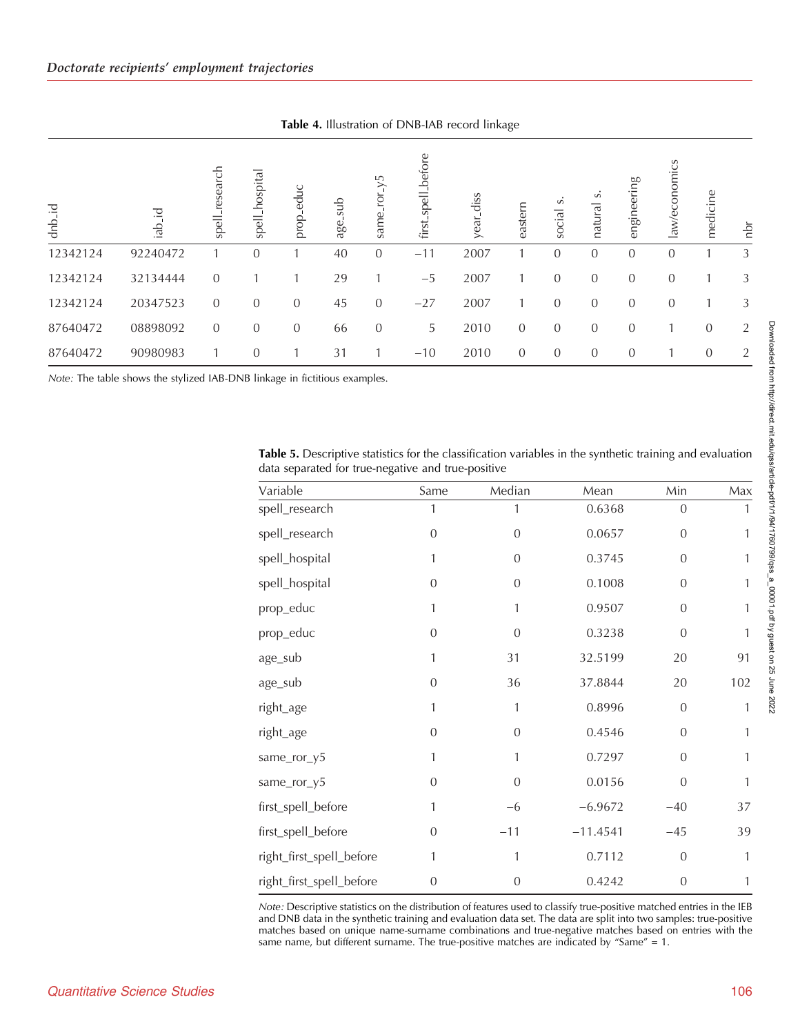Table 4. Illustration of DNB-IAB record linkage

<span id="page-12-0"></span>

| dnb id   | 곧<br>de. | research<br>spell | spell_hospital | educ<br>prop   | dus<br>age | У5<br>same     | first spell before | diss<br>year | eastern        | S<br>social    | S<br>natural   | engineering    | law/economics  | medicine       | 흠 |
|----------|----------|-------------------|----------------|----------------|------------|----------------|--------------------|--------------|----------------|----------------|----------------|----------------|----------------|----------------|---|
| 12342124 | 92240472 |                   | $\theta$       |                | 40         | $\theta$       | $-11$              | 2007         |                | $\Omega$       | $\overline{0}$ | $\theta$       | 0              |                | 3 |
| 12342124 | 32134444 | $\overline{0}$    |                |                | 29         |                | $-5$               | 2007         |                | $\Omega$       | $\overline{0}$ | $\theta$       | $\theta$       |                | 3 |
| 12342124 | 20347523 | $\overline{0}$    | $\overline{0}$ | $\overline{0}$ | 45         | $\overline{0}$ | $-27$              | 2007         |                | $\Omega$       | $\overline{0}$ | $\overline{0}$ | $\overline{0}$ |                | 3 |
| 87640472 | 08898092 | $\overline{0}$    | $\overline{0}$ | $\overline{0}$ | 66         | $\theta$       | 5                  | 2010         | $\overline{0}$ | $\overline{0}$ | $\overline{0}$ | $\theta$       |                | $\overline{0}$ | 2 |
| 87640472 | 90980983 |                   | $\theta$       |                | 31         |                | $-10$              | 2010         | $\overline{0}$ | $\theta$       | $\overline{0}$ | $\theta$       |                | $\overline{0}$ | 2 |

Note: The table shows the stylized IAB-DNB linkage in fictitious examples.

| Variable                 | Same           | Median         | Mean       | Min            | Max          |
|--------------------------|----------------|----------------|------------|----------------|--------------|
| spell_research           | 1              | 1              | 0.6368     | $\overline{0}$ | 1            |
| spell_research           | $\mathbf{0}$   | $\overline{0}$ | 0.0657     | $\mathbf{0}$   | 1            |
| spell_hospital           | 1              | $\overline{0}$ | 0.3745     | $\overline{0}$ | 1            |
| spell_hospital           | $\mathbf{0}$   | $\overline{0}$ | 0.1008     | $\mathbf{0}$   | 1            |
| prop_educ                | 1              | 1              | 0.9507     | $\mathbf{0}$   | $\mathbf{1}$ |
| prop_educ                | $\overline{0}$ | $\overline{0}$ | 0.3238     | $\overline{0}$ | $\mathbf{1}$ |
| age_sub                  | 1              | 31             | 32.5199    | 20             | 91           |
| age_sub                  | $\overline{0}$ | 36             | 37.8844    | 20             | 102          |
| right_age                | 1              | 1              | 0.8996     | $\mathbf{0}$   | $\mathbf{1}$ |
| right_age                | $\mathbf{0}$   | $\mathbf{0}$   | 0.4546     | $\mathbf{0}$   | $\mathbf{1}$ |
| same_ror_y5              | 1              | 1              | 0.7297     | $\overline{0}$ | $\mathbf{1}$ |
| same_ror_y5              | $\overline{0}$ | $\overline{0}$ | 0.0156     | $\overline{0}$ | $\mathbf{1}$ |
| first_spell_before       | 1              | $-6$           | $-6.9672$  | $-40$          | 37           |
| first_spell_before       | $\overline{0}$ | $-11$          | $-11.4541$ | $-45$          | 39           |
| right_first_spell_before | 1              | 1              | 0.7112     | $\mathbf{0}$   | $\mathbf{1}$ |
| right_first_spell_before | $\overline{0}$ | $\overline{0}$ | 0.4242     | $\mathbf{0}$   | 1            |

Table 5. Descriptive statistics for the classification variables in the synthetic training and evaluation data separated for true-negative and true-positive

Note: Descriptive statistics on the distribution of features used to classify true-positive matched entries in the IEB and DNB data in the synthetic training and evaluation data set. The data are split into two samples: true-positive matches based on unique name-surname combinations and true-negative matches based on entries with the same name, but different surname. The true-positive matches are indicated by "Same" =  $1$ .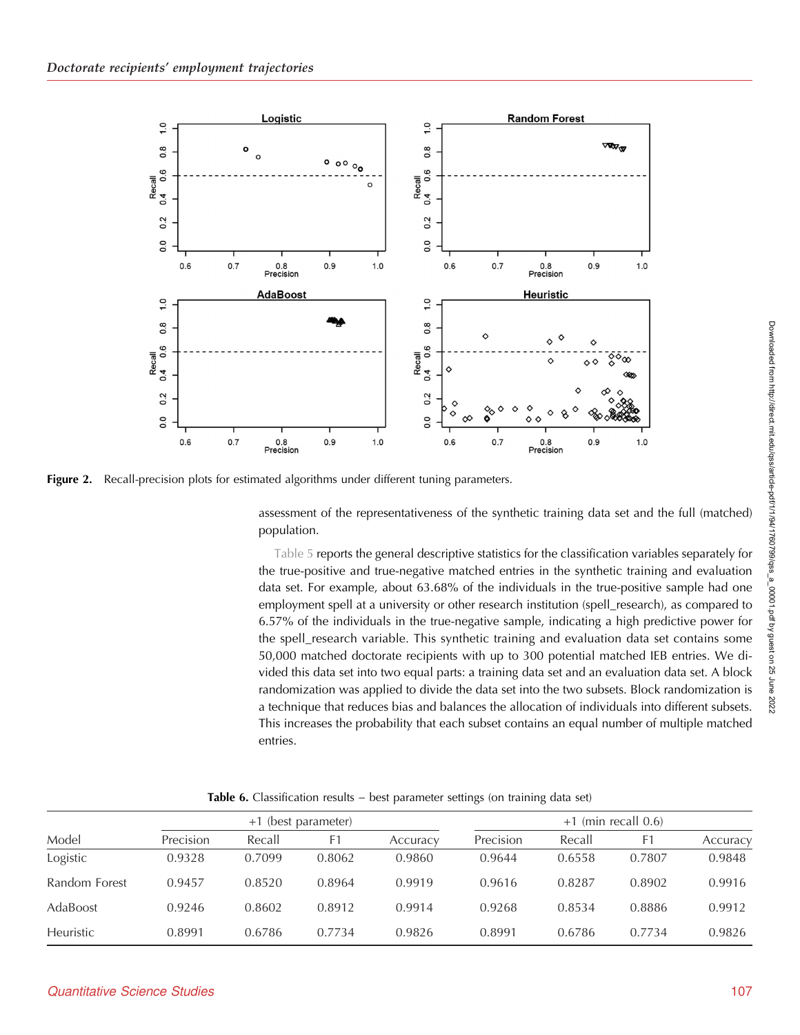<span id="page-13-0"></span>

**Figure 2.** Recall-precision plots for estimated algorithms under different tuning parameters.

assessment of the representativeness of the synthetic training data set and the full (matched) population.

[Table 5](#page-12-0) reports the general descriptive statistics for the classification variables separately for the true-positive and true-negative matched entries in the synthetic training and evaluation data set. For example, about 63.68% of the individuals in the true-positive sample had one employment spell at a university or other research institution (spell\_research), as compared to 6.57% of the individuals in the true-negative sample, indicating a high predictive power for the spell\_research variable. This synthetic training and evaluation data set contains some 50,000 matched doctorate recipients with up to 300 potential matched IEB entries. We divided this data set into two equal parts: a training data set and an evaluation data set. A block randomization was applied to divide the data set into the two subsets. Block randomization is a technique that reduces bias and balances the allocation of individuals into different subsets. This increases the probability that each subset contains an equal number of multiple matched entries.

Model +1 (best parameter) +1 (min recall 0.6) Precision Recall F1 Accuracy Precision Recall F1 Accuracy Logistic 0.9328 0.7099 0.8062 0.9860 0.9644 0.6558 0.7807 0.9848 Random Forest 0.9457 0.8520 0.8964 0.9919 0.9616 0.8287 0.8902 0.9916 AdaBoost 0.9246 0.8602 0.8912 0.9914 0.9268 0.8534 0.8886 0.9912 Heuristic 0.8991 0.6786 0.7734 0.9826 0.8991 0.6786 0.7734 0.9826

Table 6. Classification results – best parameter settings (on training data set)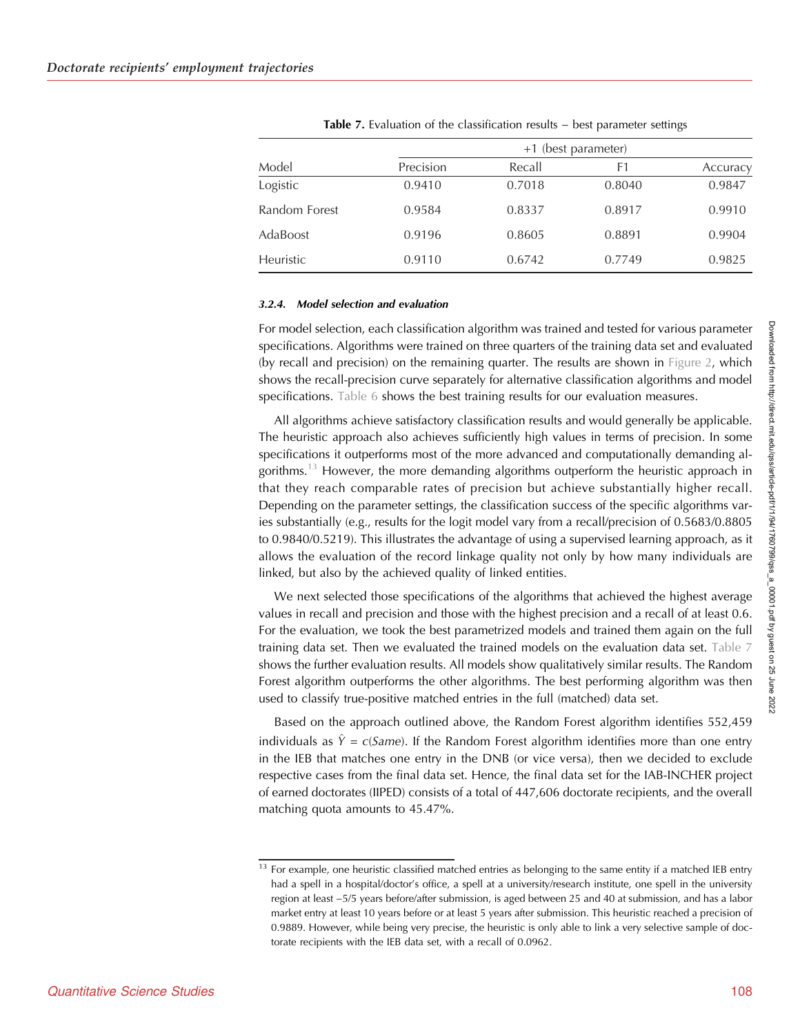|               | +1 (best parameter) |        |        |          |  |  |  |
|---------------|---------------------|--------|--------|----------|--|--|--|
| Model         | Precision           | Recall | F1     | Accuracy |  |  |  |
| Logistic      | 0.9410              | 0.7018 | 0.8040 | 0.9847   |  |  |  |
| Random Forest | 0.9584              | 0.8337 | 0.8917 | 0.9910   |  |  |  |
| AdaBoost      | 0.9196              | 0.8605 | 0.8891 | 0.9904   |  |  |  |
| Heuristic     | 0.9110              | 0.6742 | 0.7749 | 0.9825   |  |  |  |

Table 7. Evaluation of the classification results − best parameter settings

#### 3.2.4. Model selection and evaluation

For model selection, each classification algorithm was trained and tested for various parameter specifications. Algorithms were trained on three quarters of the training data set and evaluated (by recall and precision) on the remaining quarter. The results are shown in [Figure 2](#page-13-0), which shows the recall-precision curve separately for alternative classification algorithms and model specifications. [Table 6](#page-13-0) shows the best training results for our evaluation measures.

All algorithms achieve satisfactory classification results and would generally be applicable. The heuristic approach also achieves sufficiently high values in terms of precision. In some specifications it outperforms most of the more advanced and computationally demanding algorithms.<sup>13</sup> However, the more demanding algorithms outperform the heuristic approach in that they reach comparable rates of precision but achieve substantially higher recall. Depending on the parameter settings, the classification success of the specific algorithms varies substantially (e.g., results for the logit model vary from a recall/precision of 0.5683/0.8805 to 0.9840/0.5219). This illustrates the advantage of using a supervised learning approach, as it allows the evaluation of the record linkage quality not only by how many individuals are linked, but also by the achieved quality of linked entities.

We next selected those specifications of the algorithms that achieved the highest average values in recall and precision and those with the highest precision and a recall of at least 0.6. For the evaluation, we took the best parametrized models and trained them again on the full training data set. Then we evaluated the trained models on the evaluation data set. Table 7 shows the further evaluation results. All models show qualitatively similar results. The Random Forest algorithm outperforms the other algorithms. The best performing algorithm was then used to classify true-positive matched entries in the full (matched) data set.

Based on the approach outlined above, the Random Forest algorithm identifies 552,459 individuals as  $\hat{Y} = c(Same)$ . If the Random Forest algorithm identifies more than one entry in the IEB that matches one entry in the DNB (or vice versa), then we decided to exclude respective cases from the final data set. Hence, the final data set for the IAB-INCHER project of earned doctorates (IIPED) consists of a total of 447,606 doctorate recipients, and the overall matching quota amounts to 45.47%.

 $13$  For example, one heuristic classified matched entries as belonging to the same entity if a matched IEB entry had a spell in a hospital/doctor's office, a spell at a university/research institute, one spell in the university region at least −5/5 years before/after submission, is aged between 25 and 40 at submission, and has a labor market entry at least 10 years before or at least 5 years after submission. This heuristic reached a precision of 0.9889. However, while being very precise, the heuristic is only able to link a very selective sample of doctorate recipients with the IEB data set, with a recall of 0.0962.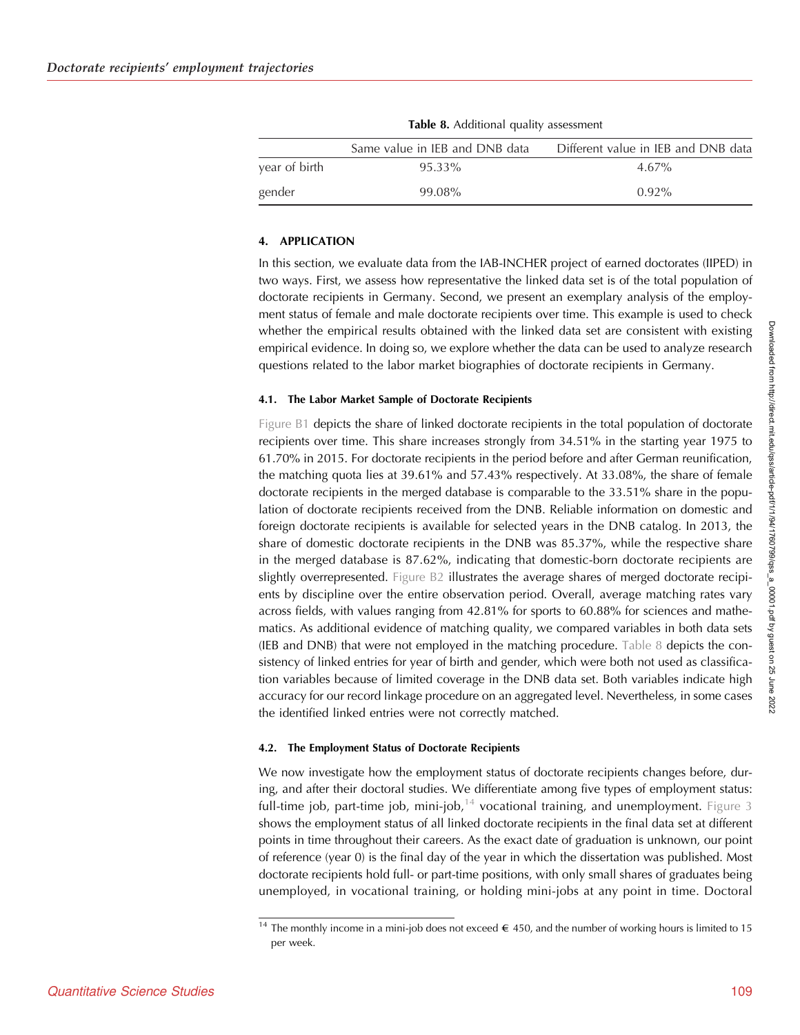|               | Same value in IEB and DNB data | Different value in IEB and DNB data |
|---------------|--------------------------------|-------------------------------------|
| year of birth | 95.33%                         | $4.67\%$                            |
| gender        | 99.08%                         | $0.92\%$                            |

Table 8. Additional quality assessment

## 4. APPLICATION

In this section, we evaluate data from the IAB-INCHER project of earned doctorates (IIPED) in two ways. First, we assess how representative the linked data set is of the total population of doctorate recipients in Germany. Second, we present an exemplary analysis of the employment status of female and male doctorate recipients over time. This example is used to check whether the empirical results obtained with the linked data set are consistent with existing empirical evidence. In doing so, we explore whether the data can be used to analyze research questions related to the labor market biographies of doctorate recipients in Germany.

## 4.1. The Labor Market Sample of Doctorate Recipients

[Figure B1](#page-21-0) depicts the share of linked doctorate recipients in the total population of doctorate recipients over time. This share increases strongly from 34.51% in the starting year 1975 to 61.70% in 2015. For doctorate recipients in the period before and after German reunification, the matching quota lies at 39.61% and 57.43% respectively. At 33.08%, the share of female doctorate recipients in the merged database is comparable to the 33.51% share in the population of doctorate recipients received from the DNB. Reliable information on domestic and foreign doctorate recipients is available for selected years in the DNB catalog. In 2013, the share of domestic doctorate recipients in the DNB was 85.37%, while the respective share in the merged database is 87.62%, indicating that domestic-born doctorate recipients are slightly overrepresented. [Figure B2](#page-22-0) illustrates the average shares of merged doctorate recipients by discipline over the entire observation period. Overall, average matching rates vary across fields, with values ranging from 42.81% for sports to 60.88% for sciences and mathematics. As additional evidence of matching quality, we compared variables in both data sets (IEB and DNB) that were not employed in the matching procedure. Table 8 depicts the consistency of linked entries for year of birth and gender, which were both not used as classification variables because of limited coverage in the DNB data set. Both variables indicate high accuracy for our record linkage procedure on an aggregated level. Nevertheless, in some cases the identified linked entries were not correctly matched.

## 4.2. The Employment Status of Doctorate Recipients

We now investigate how the employment status of doctorate recipients changes before, during, and after their doctoral studies. We differentiate among five types of employment status: full-time job, part-time job, mini-job,<sup>14</sup> vocational training, and unemployment. [Figure 3](#page-16-0) shows the employment status of all linked doctorate recipients in the final data set at different points in time throughout their careers. As the exact date of graduation is unknown, our point of reference (year 0) is the final day of the year in which the dissertation was published. Most doctorate recipients hold full- or part-time positions, with only small shares of graduates being unemployed, in vocational training, or holding mini-jobs at any point in time. Doctoral

<sup>&</sup>lt;sup>14</sup> The monthly income in a mini-job does not exceed  $\in$  450, and the number of working hours is limited to 15 per week.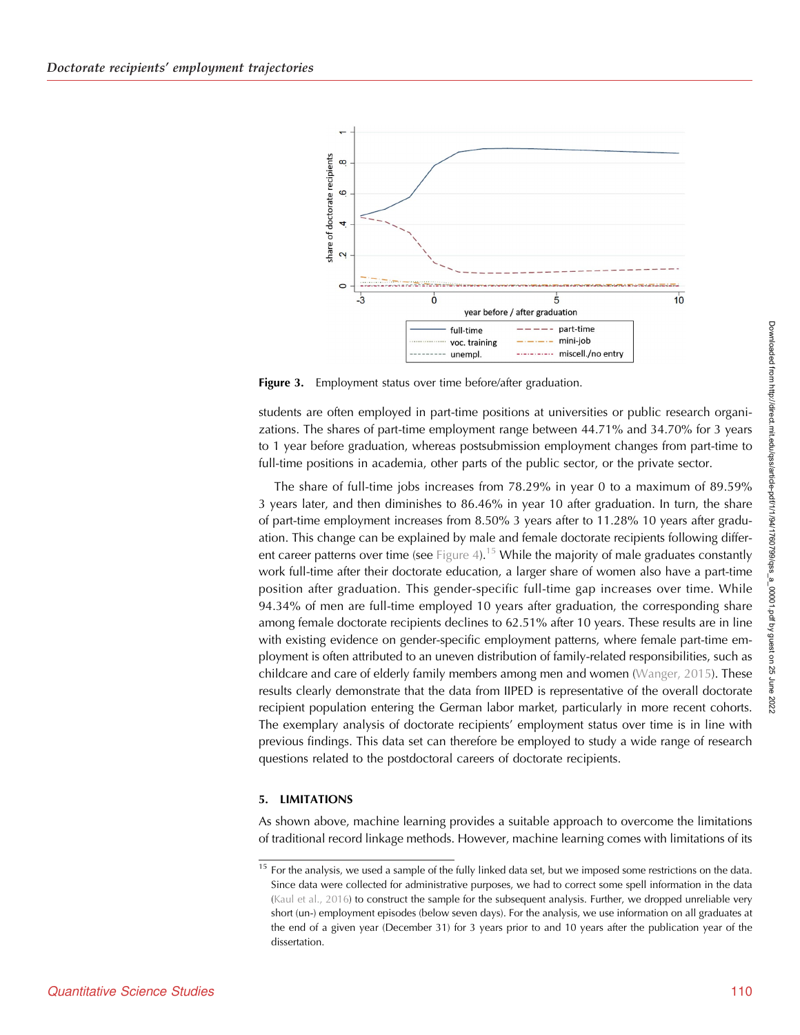<span id="page-16-0"></span>

Figure 3. Employment status over time before/after graduation.

students are often employed in part-time positions at universities or public research organizations. The shares of part-time employment range between 44.71% and 34.70% for 3 years to 1 year before graduation, whereas postsubmission employment changes from part-time to full-time positions in academia, other parts of the public sector, or the private sector.

The share of full-time jobs increases from 78.29% in year 0 to a maximum of 89.59% 3 years later, and then diminishes to 86.46% in year 10 after graduation. In turn, the share of part-time employment increases from 8.50% 3 years after to 11.28% 10 years after graduation. This change can be explained by male and female doctorate recipients following differ-ent career patterns over time (see [Figure 4\)](#page-17-0).<sup>15</sup> While the majority of male graduates constantly work full-time after their doctorate education, a larger share of women also have a part-time position after graduation. This gender-specific full-time gap increases over time. While 94.34% of men are full-time employed 10 years after graduation, the corresponding share among female doctorate recipients declines to 62.51% after 10 years. These results are in line with existing evidence on gender-specific employment patterns, where female part-time employment is often attributed to an uneven distribution of family-related responsibilities, such as childcare and care of elderly family members among men and women ([Wanger, 2015\)](#page-19-0). These results clearly demonstrate that the data from IIPED is representative of the overall doctorate recipient population entering the German labor market, particularly in more recent cohorts. The exemplary analysis of doctorate recipients' employment status over time is in line with previous findings. This data set can therefore be employed to study a wide range of research questions related to the postdoctoral careers of doctorate recipients.

#### 5. LIMITATIONS

As shown above, machine learning provides a suitable approach to overcome the limitations of traditional record linkage methods. However, machine learning comes with limitations of its

 $15$  For the analysis, we used a sample of the fully linked data set, but we imposed some restrictions on the data. Since data were collected for administrative purposes, we had to correct some spell information in the data ([Kaul et al., 2016](#page-19-0)) to construct the sample for the subsequent analysis. Further, we dropped unreliable very short (un-) employment episodes (below seven days). For the analysis, we use information on all graduates at the end of a given year (December 31) for 3 years prior to and 10 years after the publication year of the dissertation.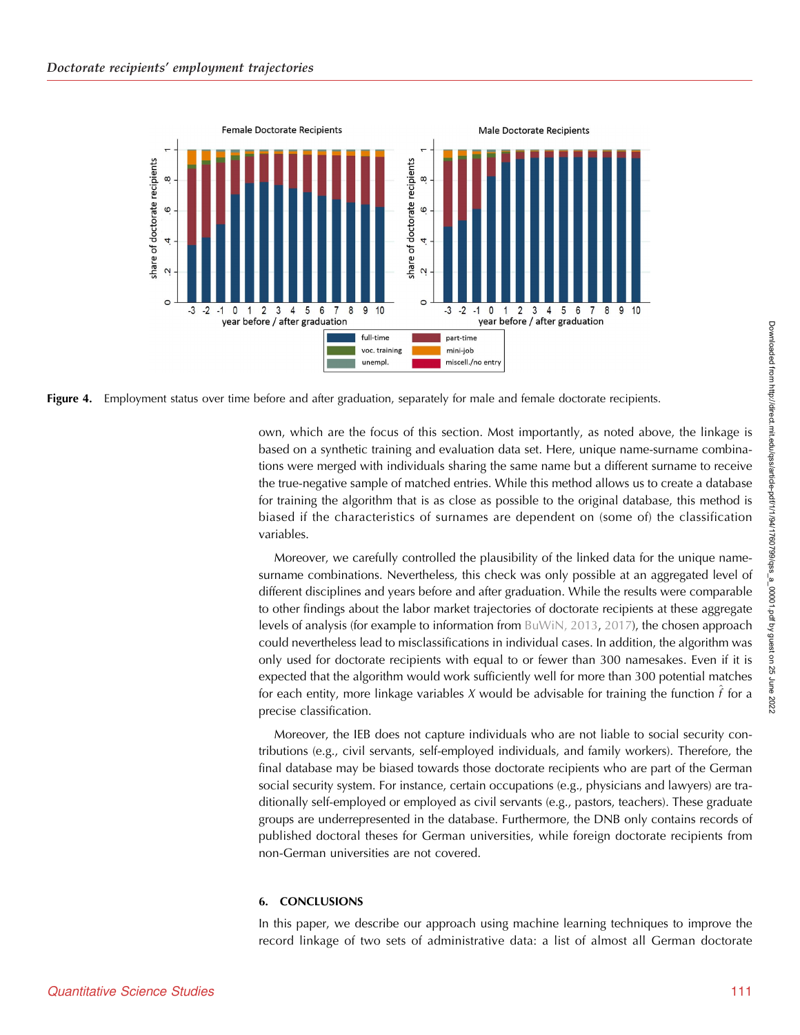<span id="page-17-0"></span>



own, which are the focus of this section. Most importantly, as noted above, the linkage is based on a synthetic training and evaluation data set. Here, unique name-surname combinations were merged with individuals sharing the same name but a different surname to receive the true-negative sample of matched entries. While this method allows us to create a database for training the algorithm that is as close as possible to the original database, this method is biased if the characteristics of surnames are dependent on (some of) the classification variables.

Moreover, we carefully controlled the plausibility of the linked data for the unique namesurname combinations. Nevertheless, this check was only possible at an aggregated level of different disciplines and years before and after graduation. While the results were comparable to other findings about the labor market trajectories of doctorate recipients at these aggregate levels of analysis (for example to information from [BuWiN, 2013,](#page-19-0) [2017\)](#page-19-0), the chosen approach could nevertheless lead to misclassifications in individual cases. In addition, the algorithm was only used for doctorate recipients with equal to or fewer than 300 namesakes. Even if it is expected that the algorithm would work sufficiently well for more than 300 potential matches for each entity, more linkage variables X would be advisable for training the function  $f$  for a precise classification.

Moreover, the IEB does not capture individuals who are not liable to social security contributions (e.g., civil servants, self-employed individuals, and family workers). Therefore, the final database may be biased towards those doctorate recipients who are part of the German social security system. For instance, certain occupations (e.g., physicians and lawyers) are traditionally self-employed or employed as civil servants (e.g., pastors, teachers). These graduate groups are underrepresented in the database. Furthermore, the DNB only contains records of published doctoral theses for German universities, while foreign doctorate recipients from non-German universities are not covered.

## 6. CONCLUSIONS

In this paper, we describe our approach using machine learning techniques to improve the record linkage of two sets of administrative data: a list of almost all German doctorate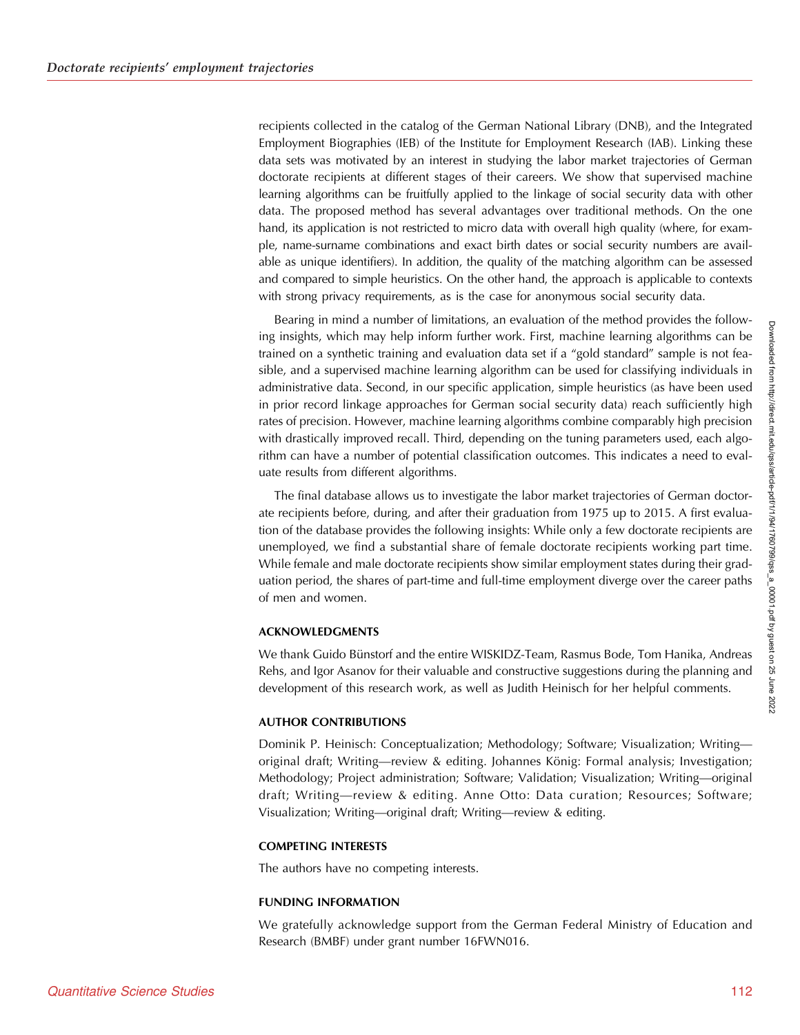recipients collected in the catalog of the German National Library (DNB), and the Integrated Employment Biographies (IEB) of the Institute for Employment Research (IAB). Linking these data sets was motivated by an interest in studying the labor market trajectories of German doctorate recipients at different stages of their careers. We show that supervised machine learning algorithms can be fruitfully applied to the linkage of social security data with other data. The proposed method has several advantages over traditional methods. On the one hand, its application is not restricted to micro data with overall high quality (where, for example, name-surname combinations and exact birth dates or social security numbers are available as unique identifiers). In addition, the quality of the matching algorithm can be assessed and compared to simple heuristics. On the other hand, the approach is applicable to contexts with strong privacy requirements, as is the case for anonymous social security data.

Bearing in mind a number of limitations, an evaluation of the method provides the following insights, which may help inform further work. First, machine learning algorithms can be trained on a synthetic training and evaluation data set if a "gold standard" sample is not feasible, and a supervised machine learning algorithm can be used for classifying individuals in administrative data. Second, in our specific application, simple heuristics (as have been used in prior record linkage approaches for German social security data) reach sufficiently high rates of precision. However, machine learning algorithms combine comparably high precision with drastically improved recall. Third, depending on the tuning parameters used, each algorithm can have a number of potential classification outcomes. This indicates a need to evaluate results from different algorithms.

The final database allows us to investigate the labor market trajectories of German doctorate recipients before, during, and after their graduation from 1975 up to 2015. A first evaluation of the database provides the following insights: While only a few doctorate recipients are unemployed, we find a substantial share of female doctorate recipients working part time. While female and male doctorate recipients show similar employment states during their graduation period, the shares of part-time and full-time employment diverge over the career paths of men and women.

## ACKNOWLEDGMENTS

We thank Guido Bünstorf and the entire WISKIDZ-Team, Rasmus Bode, Tom Hanika, Andreas Rehs, and Igor Asanov for their valuable and constructive suggestions during the planning and development of this research work, as well as Judith Heinisch for her helpful comments.

## AUTHOR CONTRIBUTIONS

Dominik P. Heinisch: Conceptualization; Methodology; Software; Visualization; Writing original draft; Writing—review & editing. Johannes König: Formal analysis; Investigation; Methodology; Project administration; Software; Validation; Visualization; Writing—original draft; Writing—review & editing. Anne Otto: Data curation; Resources; Software; Visualization; Writing—original draft; Writing—review & editing.

## COMPETING INTERESTS

The authors have no competing interests.

#### FUNDING INFORMATION

We gratefully acknowledge support from the German Federal Ministry of Education and Research (BMBF) under grant number 16FWN016.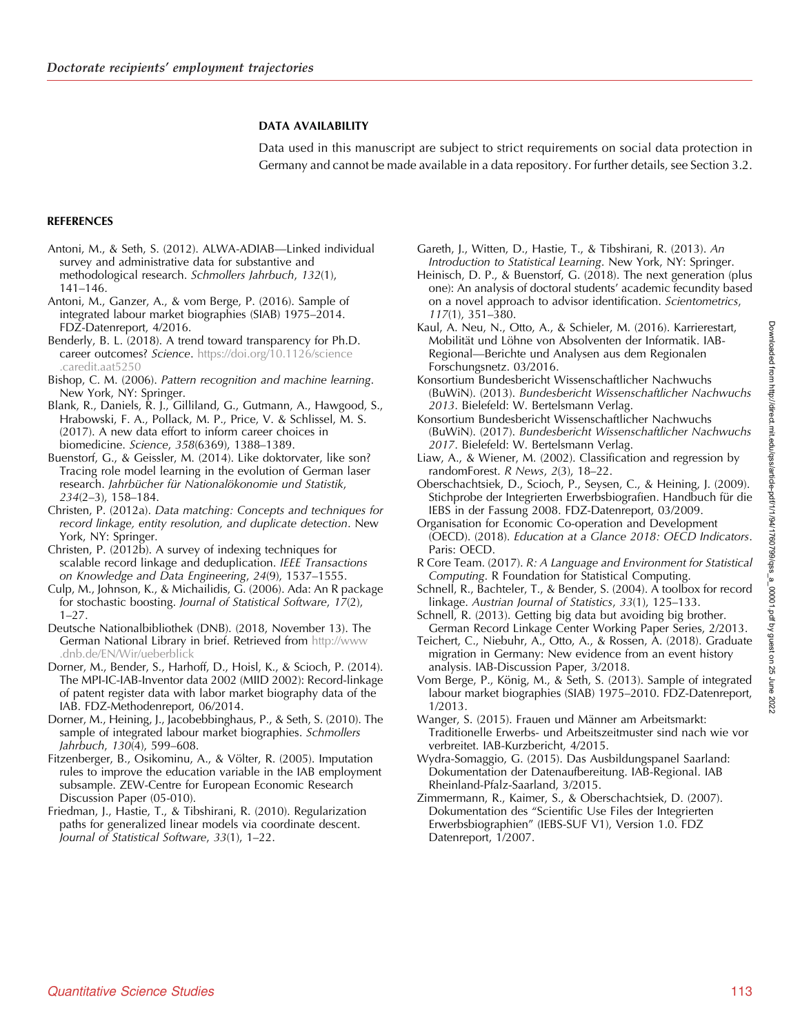## DATA AVAILABILITY

Data used in this manuscript are subject to strict requirements on social data protection in Germany and cannot be made available in a data repository. For further details, see Section 3.2.

## <span id="page-19-0"></span>**REFERENCES**

- Antoni, M., & Seth, S. (2012). ALWA-ADIAB—Linked individual survey and administrative data for substantive and methodological research. Schmollers Jahrbuch, 132(1), 141–146.
- Antoni, M., Ganzer, A., & vom Berge, P. (2016). Sample of integrated labour market biographies (SIAB) 1975–2014. FDZ-Datenreport, 4/2016.
- Benderly, B. L. (2018). A trend toward transparency for Ph.D. career outcomes? Science. [https://doi.org/10.1126/science](https://doi.org/10.1126/science.caredit.aat5250) [.caredit.aat5250](https://doi.org/10.1126/science.caredit.aat5250)
- Bishop, C. M. (2006). Pattern recognition and machine learning. New York, NY: Springer.
- Blank, R., Daniels, R. J., Gilliland, G., Gutmann, A., Hawgood, S., Hrabowski, F. A., Pollack, M. P., Price, V. & Schlissel, M. S. (2017). A new data effort to inform career choices in biomedicine. Science, 358(6369), 1388–1389.
- Buenstorf, G., & Geissler, M. (2014). Like doktorvater, like son? Tracing role model learning in the evolution of German laser research. Jahrbücher für Nationalökonomie und Statistik, 234(2–3), 158–184.
- Christen, P. (2012a). Data matching: Concepts and techniques for record linkage, entity resolution, and duplicate detection. New York, NY: Springer.
- Christen, P. (2012b). A survey of indexing techniques for scalable record linkage and deduplication. IEEE Transactions on Knowledge and Data Engineering, 24(9), 1537–1555.
- Culp, M., Johnson, K., & Michailidis, G. (2006). Ada: An R package for stochastic boosting. Journal of Statistical Software, 17(2),  $1-27$ .
- Deutsche Nationalbibliothek (DNB). (2018, November 13). The German National Library in brief. Retrieved from [http://www](http://www.dnb.de/EN/Wir/ueberblick) [.dnb.de/EN/Wir/ueberblick](http://www.dnb.de/EN/Wir/ueberblick)
- Dorner, M., Bender, S., Harhoff, D., Hoisl, K., & Scioch, P. (2014). The MPI-IC-IAB-Inventor data 2002 (MIID 2002): Record-linkage of patent register data with labor market biography data of the IAB. FDZ-Methodenreport, 06/2014.
- Dorner, M., Heining, J., Jacobebbinghaus, P., & Seth, S. (2010). The sample of integrated labour market biographies. Schmollers Jahrbuch, 130(4), 599–608.
- Fitzenberger, B., Osikominu, A., & Völter, R. (2005). Imputation rules to improve the education variable in the IAB employment subsample. ZEW-Centre for European Economic Research Discussion Paper (05-010).
- Friedman, J., Hastie, T., & Tibshirani, R. (2010). Regularization paths for generalized linear models via coordinate descent. Journal of Statistical Software, 33(1), 1–22.
- Gareth, J., Witten, D., Hastie, T., & Tibshirani, R. (2013). An Introduction to Statistical Learning. New York, NY: Springer.
- Heinisch, D. P., & Buenstorf, G. (2018). The next generation (plus one): An analysis of doctoral students' academic fecundity based on a novel approach to advisor identification. Scientometrics, 117(1), 351–380.
- Kaul, A. Neu, N., Otto, A., & Schieler, M. (2016). Karrierestart, Mobilität und Löhne von Absolventen der Informatik. IAB-Regional—Berichte und Analysen aus dem Regionalen Forschungsnetz. 03/2016.
- Konsortium Bundesbericht Wissenschaftlicher Nachwuchs (BuWiN). (2013). Bundesbericht Wissenschaftlicher Nachwuchs 2013. Bielefeld: W. Bertelsmann Verlag.
- Konsortium Bundesbericht Wissenschaftlicher Nachwuchs (BuWiN). (2017). Bundesbericht Wissenschaftlicher Nachwuchs 2017. Bielefeld: W. Bertelsmann Verlag.
- Liaw, A., & Wiener, M. (2002). Classification and regression by randomForest. R News, 2(3), 18–22.
- Oberschachtsiek, D., Scioch, P., Seysen, C., & Heining, J. (2009). Stichprobe der Integrierten Erwerbsbiografien. Handbuch für die IEBS in der Fassung 2008. FDZ-Datenreport, 03/2009.
- Organisation for Economic Co-operation and Development (OECD). (2018). Education at a Glance 2018: OECD Indicators. Paris: OECD.
- R Core Team. (2017). R: A Language and Environment for Statistical Computing. R Foundation for Statistical Computing.
- Schnell, R., Bachteler, T., & Bender, S. (2004). A toolbox for record linkage. Austrian Journal of Statistics, 33(1), 125–133.
- Schnell, R. (2013). Getting big data but avoiding big brother. German Record Linkage Center Working Paper Series, 2/2013.
- Teichert, C., Niebuhr, A., Otto, A., & Rossen, A. (2018). Graduate migration in Germany: New evidence from an event history analysis. IAB-Discussion Paper, 3/2018.
- Vom Berge, P., König, M., & Seth, S. (2013). Sample of integrated labour market biographies (SIAB) 1975–2010. FDZ-Datenreport, 1/2013.
- Wanger, S. (2015). Frauen und Männer am Arbeitsmarkt: Traditionelle Erwerbs- und Arbeitszeitmuster sind nach wie vor verbreitet. IAB-Kurzbericht, 4/2015.
- Wydra-Somaggio, G. (2015). Das Ausbildungspanel Saarland: Dokumentation der Datenaufbereitung. IAB-Regional. IAB Rheinland-Pfalz-Saarland, 3/2015.
- Zimmermann, R., Kaimer, S., & Oberschachtsiek, D. (2007). Dokumentation des "Scientific Use Files der Integrierten Erwerbsbiographien" (IEBS-SUF V1), Version 1.0. FDZ Datenreport, 1/2007.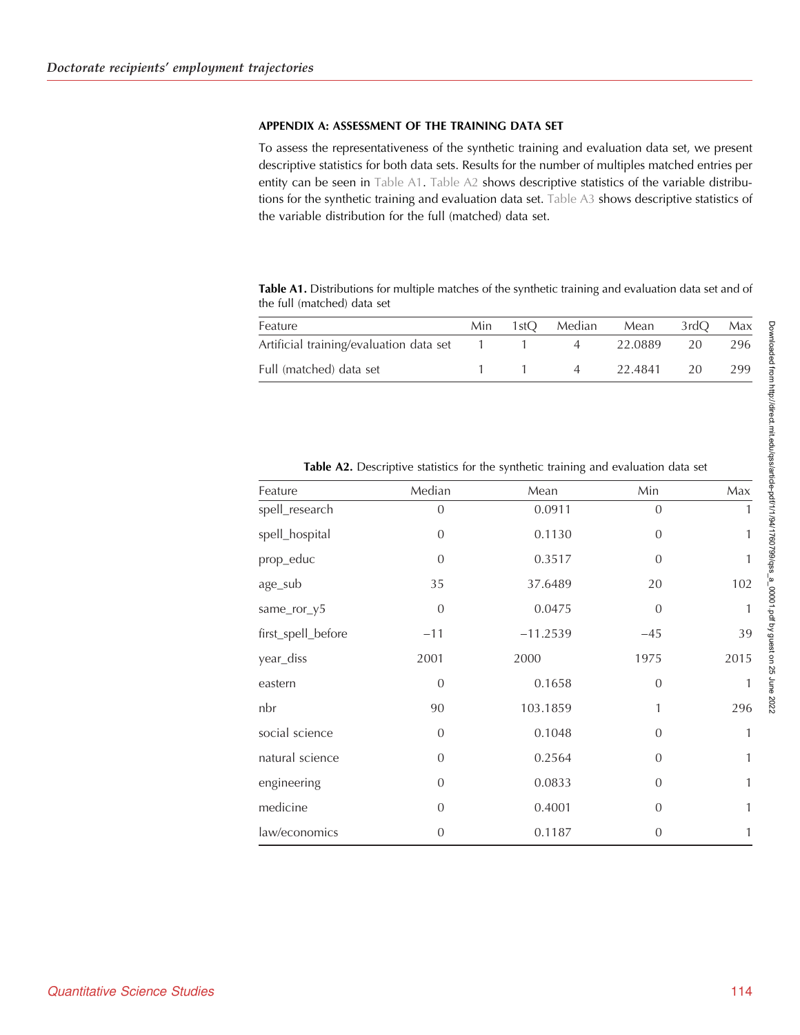## <span id="page-20-0"></span>APPENDIX A: ASSESSMENT OF THE TRAINING DATA SET

To assess the representativeness of the synthetic training and evaluation data set, we present descriptive statistics for both data sets. Results for the number of multiples matched entries per entity can be seen in Table A1. Table A2 shows descriptive statistics of the variable distributions for the synthetic training and evaluation data set. [Table A3](#page-21-0) shows descriptive statistics of the variable distribution for the full (matched) data set.

Table A1. Distributions for multiple matches of the synthetic training and evaluation data set and of the full (matched) data set

| Median<br>3rdO<br>1st $\Omega$<br>Min<br>Mean<br>22.0889<br>20<br>4 |         |  |  |     |
|---------------------------------------------------------------------|---------|--|--|-----|
| Artificial training/evaluation data set 1                           | Feature |  |  | Max |
|                                                                     |         |  |  | 296 |
| Full (matched) data set<br>22.4841<br>20<br>$\Delta$                |         |  |  | 299 |

| Feature            | Median         | Mean       | Min            | Max          |
|--------------------|----------------|------------|----------------|--------------|
| spell_research     | $\overline{0}$ | 0.0911     | $\overline{0}$ | 1            |
| spell_hospital     | $\Omega$       | 0.1130     | $\mathbf{0}$   | 1            |
| prop_educ          | $\theta$       | 0.3517     | $\mathbf{0}$   | 1            |
| age_sub            | 35             | 37.6489    | 20             | 102          |
| same_ror_y5        | $\overline{0}$ | 0.0475     | $\overline{0}$ | $\mathbf{1}$ |
| first_spell_before | $-11$          | $-11.2539$ | $-45$          | 39           |
| year_diss          | 2001           | 2000       | 1975           | 2015         |
| eastern            | $\mathbf{0}$   | 0.1658     | $\mathbf{0}$   | 1            |
| nbr                | 90             | 103.1859   | 1              | 296          |
| social science     | $\overline{0}$ | 0.1048     | $\mathbf{0}$   | $\mathbf{1}$ |
| natural science    | $\overline{0}$ | 0.2564     | $\overline{0}$ | 1            |
| engineering        | $\overline{0}$ | 0.0833     | $\mathbf{0}$   | 1            |
| medicine           | $\overline{0}$ | 0.4001     | $\overline{0}$ | 1            |
| law/economics      | 0              | 0.1187     | 0              | 1            |

Table A2. Descriptive statistics for the synthetic training and evaluation data set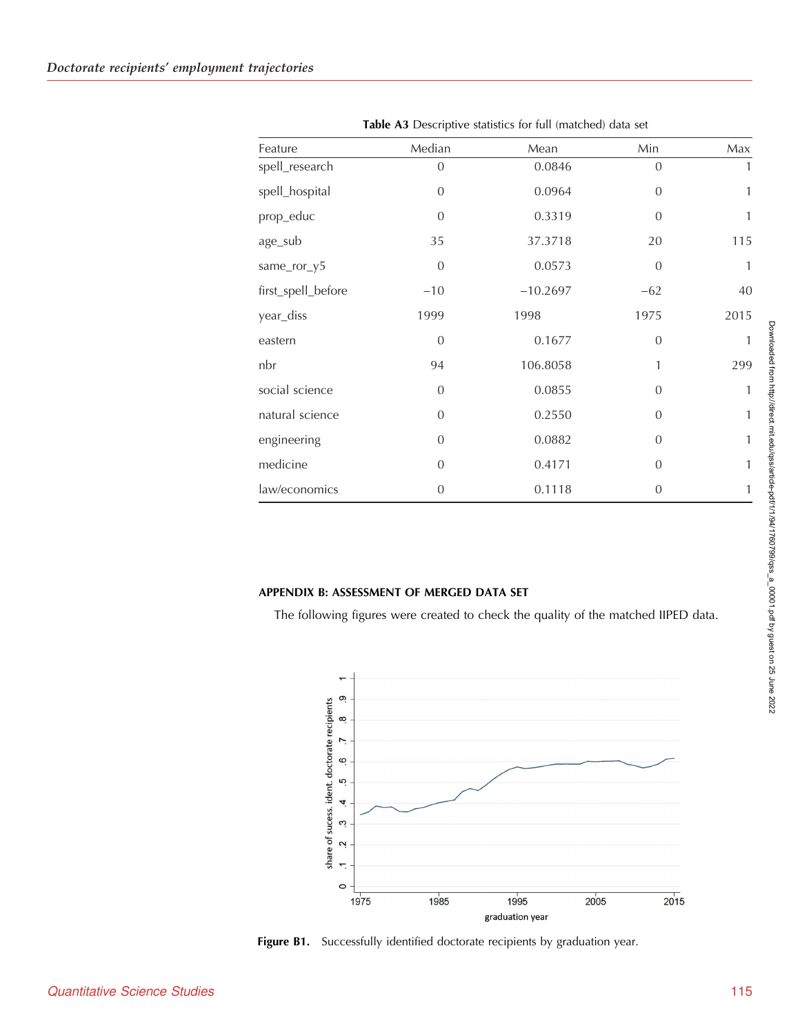<span id="page-21-0"></span>

| Feature            | Median         | Mean       | Min            | Max          |
|--------------------|----------------|------------|----------------|--------------|
| spell_research     | $\overline{0}$ | 0.0846     | $\overline{0}$ | 1            |
| spell_hospital     | $\overline{0}$ | 0.0964     | $\overline{0}$ | 1            |
| prop_educ          | $\theta$       | 0.3319     | $\overline{0}$ | 1            |
| age_sub            | 35             | 37.3718    | 20             | 115          |
| same_ror_y5        | $\theta$       | 0.0573     | $\mathbf{0}$   | $\mathbf{1}$ |
| first_spell_before | $-10$          | $-10.2697$ | $-62$          | 40           |
| year_diss          | 1999           | 1998       | 1975           | 2015         |
| eastern            | $\theta$       | 0.1677     | $\mathbf{0}$   | 1            |
| nbr                | 94             | 106.8058   | 1              | 299          |
| social science     | $\overline{0}$ | 0.0855     | $\overline{0}$ | 1            |
| natural science    | $\Omega$       | 0.2550     | $\overline{0}$ | 1            |
| engineering        | $\overline{0}$ | 0.0882     | $\mathbf{0}$   | $\mathbf{1}$ |
| medicine           | $\Omega$       | 0.4171     | $\overline{0}$ | 1            |
| law/economics      | $\overline{0}$ | 0.1118     | $\overline{0}$ | 1            |

Table A3 Descriptive statistics for full (matched) data set

## APPENDIX B: ASSESSMENT OF MERGED DATA SET

The following figures were created to check the quality of the matched IIPED data.



Figure B1. Successfully identified doctorate recipients by graduation year.